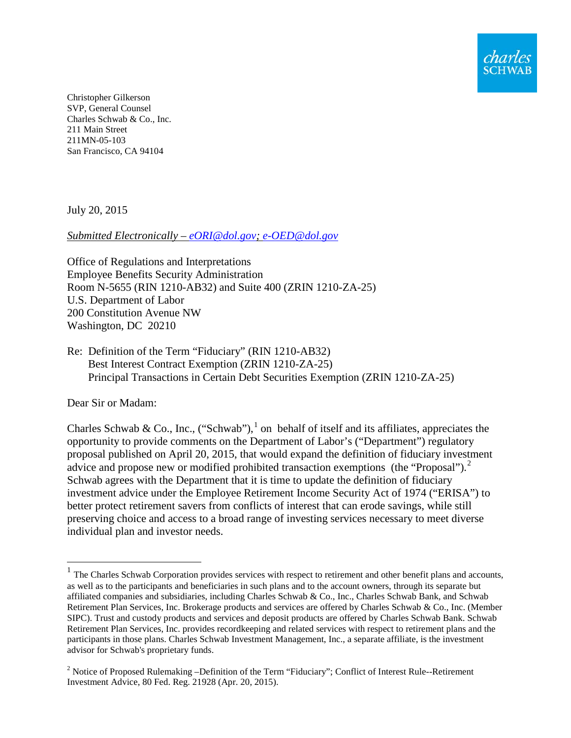Christopher Gilkerson SVP, General Counsel Charles Schwab & Co., Inc. 211 Main Street 211MN-05-103 San Francisco, CA 94104

July 20, 2015

*Submitted Electronically – [eORI@dol.gov;](mailto:eORI@dol.gov) [e-OED@dol.gov](mailto:e-OED@dol.gov)*

Office of Regulations and Interpretations Employee Benefits Security Administration Room N-5655 (RIN 1210-AB32) and Suite 400 (ZRIN 1210-ZA-25) U.S. Department of Labor 200 Constitution Avenue NW Washington, DC 20210

Re: Definition of the Term "Fiduciary" (RIN 1210-AB32) Best Interest Contract Exemption (ZRIN 1210-ZA-25) Principal Transactions in Certain Debt Securities Exemption (ZRIN 1210-ZA-25)

Dear Sir or Madam:

Charles Schwab & Co., Inc., ("Schwab"),<sup>[1](#page-0-0)</sup> on behalf of itself and its affiliates, appreciates the opportunity to provide comments on the Department of Labor's ("Department") regulatory proposal published on April 20, 2015, that would expand the definition of fiduciary investment advice and propose new or modified prohibited transaction exemptions (the "Proposal"). $^2$  $^2$ Schwab agrees with the Department that it is time to update the definition of fiduciary investment advice under the Employee Retirement Income Security Act of 1974 ("ERISA") to better protect retirement savers from conflicts of interest that can erode savings, while still preserving choice and access to a broad range of investing services necessary to meet diverse individual plan and investor needs.

<span id="page-0-0"></span><sup>&</sup>lt;sup>1</sup> The Charles Schwab Corporation provides services with respect to retirement and other benefit plans and accounts, as well as to the participants and beneficiaries in such plans and to the account owners, through its separate but affiliated companies and subsidiaries, including Charles Schwab & Co., Inc., Charles Schwab Bank, and Schwab Retirement Plan Services, Inc. Brokerage products and services are offered by Charles Schwab & Co., Inc. (Member SIPC). Trust and custody products and services and deposit products are offered by Charles Schwab Bank. Schwab Retirement Plan Services, Inc. provides recordkeeping and related services with respect to retirement plans and the participants in those plans. Charles Schwab Investment Management, Inc., a separate affiliate, is the investment advisor for Schwab's proprietary funds.

<span id="page-0-1"></span><sup>&</sup>lt;sup>2</sup> Notice of Proposed Rulemaking –Definition of the Term "Fiduciary"; Conflict of Interest Rule--Retirement Investment Advice, 80 Fed. Reg. 21928 (Apr. 20, 2015).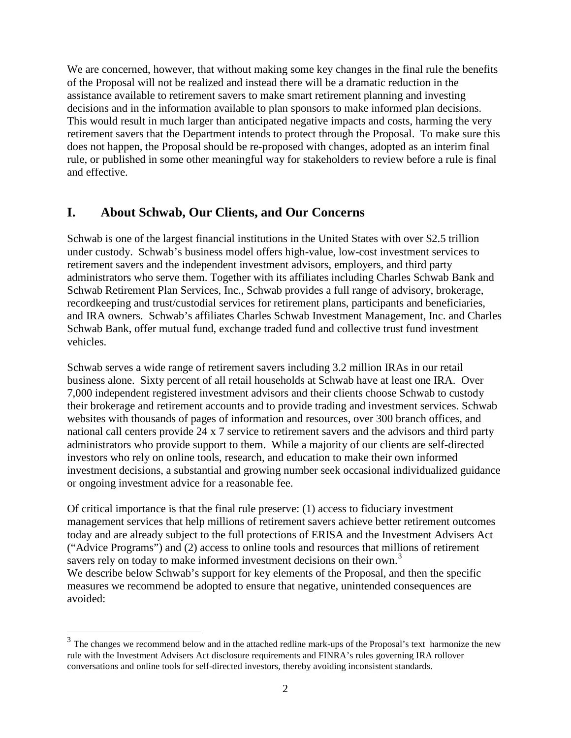We are concerned, however, that without making some key changes in the final rule the benefits of the Proposal will not be realized and instead there will be a dramatic reduction in the assistance available to retirement savers to make smart retirement planning and investing decisions and in the information available to plan sponsors to make informed plan decisions. This would result in much larger than anticipated negative impacts and costs, harming the very retirement savers that the Department intends to protect through the Proposal. To make sure this does not happen, the Proposal should be re-proposed with changes, adopted as an interim final rule, or published in some other meaningful way for stakeholders to review before a rule is final and effective.

## **I. About Schwab, Our Clients, and Our Concerns**

Schwab is one of the largest financial institutions in the United States with over \$2.5 trillion under custody. Schwab's business model offers high-value, low-cost investment services to retirement savers and the independent investment advisors, employers, and third party administrators who serve them. Together with its affiliates including Charles Schwab Bank and Schwab Retirement Plan Services, Inc., Schwab provides a full range of advisory, brokerage, recordkeeping and trust/custodial services for retirement plans, participants and beneficiaries, and IRA owners. Schwab's affiliates Charles Schwab Investment Management, Inc. and Charles Schwab Bank, offer mutual fund, exchange traded fund and collective trust fund investment vehicles.

Schwab serves a wide range of retirement savers including 3.2 million IRAs in our retail business alone. Sixty percent of all retail households at Schwab have at least one IRA. Over 7,000 independent registered investment advisors and their clients choose Schwab to custody their brokerage and retirement accounts and to provide trading and investment services. Schwab websites with thousands of pages of information and resources, over 300 branch offices, and national call centers provide 24 x 7 service to retirement savers and the advisors and third party administrators who provide support to them. While a majority of our clients are self-directed investors who rely on online tools, research, and education to make their own informed investment decisions, a substantial and growing number seek occasional individualized guidance or ongoing investment advice for a reasonable fee.

Of critical importance is that the final rule preserve: (1) access to fiduciary investment management services that help millions of retirement savers achieve better retirement outcomes today and are already subject to the full protections of ERISA and the Investment Advisers Act ("Advice Programs") and (2) access to online tools and resources that millions of retirement savers rely on today to make informed investment decisions on their own.<sup>[3](#page-1-0)</sup> We describe below Schwab's support for key elements of the Proposal, and then the specific measures we recommend be adopted to ensure that negative, unintended consequences are avoided:

 $\overline{a}$ 

<span id="page-1-0"></span><sup>&</sup>lt;sup>3</sup> The changes we recommend below and in the attached redline mark-ups of the Proposal's text harmonize the new rule with the Investment Advisers Act disclosure requirements and FINRA's rules governing IRA rollover conversations and online tools for self-directed investors, thereby avoiding inconsistent standards.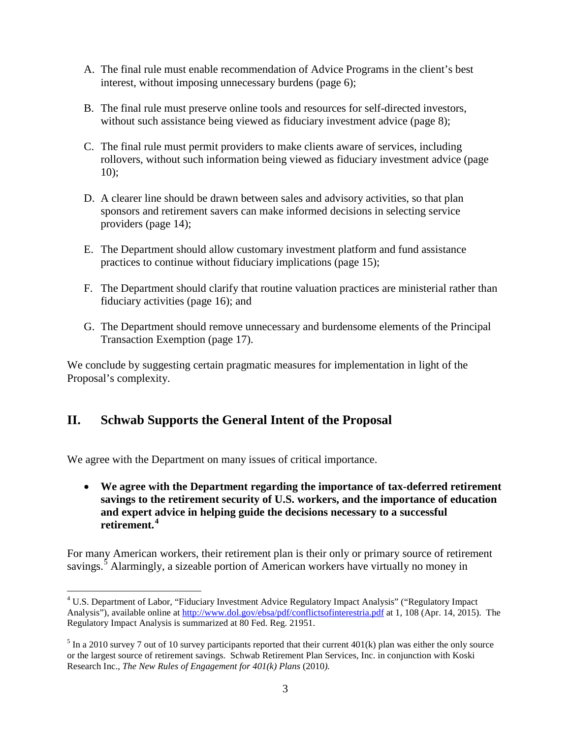- A. The final rule must enable recommendation of Advice Programs in the client's best interest, without imposing unnecessary burdens (page 6);
- B. The final rule must preserve online tools and resources for self-directed investors, without such assistance being viewed as fiduciary investment advice (page 8);
- C. The final rule must permit providers to make clients aware of services, including rollovers, without such information being viewed as fiduciary investment advice (page 10);
- D. A clearer line should be drawn between sales and advisory activities, so that plan sponsors and retirement savers can make informed decisions in selecting service providers (page 14);
- E. The Department should allow customary investment platform and fund assistance practices to continue without fiduciary implications (page 15);
- F. The Department should clarify that routine valuation practices are ministerial rather than fiduciary activities (page 16); and
- G. The Department should remove unnecessary and burdensome elements of the Principal Transaction Exemption (page 17).

We conclude by suggesting certain pragmatic measures for implementation in light of the Proposal's complexity.

## **II. Schwab Supports the General Intent of the Proposal**

We agree with the Department on many issues of critical importance.

 $\overline{a}$ 

• **We agree with the Department regarding the importance of tax-deferred retirement savings to the retirement security of U.S. workers, and the importance of education and expert advice in helping guide the decisions necessary to a successful retirement.[4](#page-2-0)**

For many American workers, their retirement plan is their only or primary source of retirement savings.<sup>[5](#page-2-1)</sup> Alarmingly, a sizeable portion of American workers have virtually no money in

<span id="page-2-0"></span><sup>4</sup> U.S. Department of Labor, "Fiduciary Investment Advice Regulatory Impact Analysis" ("Regulatory Impact Analysis"), available online at<http://www.dol.gov/ebsa/pdf/conflictsofinterestria.pdf> at 1, 108 (Apr. 14, 2015). The Regulatory Impact Analysis is summarized at 80 Fed. Reg. 21951.

<span id="page-2-1"></span> $<sup>5</sup>$  In a 2010 survey 7 out of 10 survey participants reported that their current 401(k) plan was either the only source</sup> or the largest source of retirement savings. Schwab Retirement Plan Services, Inc. in conjunction with Koski Research Inc., *The New Rules of Engagement for 401(k) Plans* (2010*).*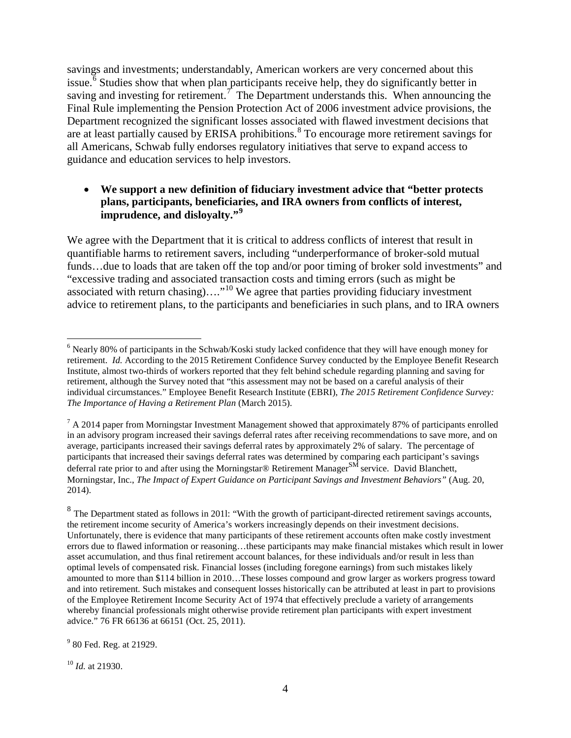savings and investments; understandably, American workers are very concerned about this issue.<sup>[6](#page-3-0)</sup> Studies show that when plan participants receive help, they do significantly better in saving and investing for retirement.<sup> $\tau$ </sup> The Department understands this. When announcing the Final Rule implementing the Pension Protection Act of 2006 investment advice provisions, the Department recognized the significant losses associated with flawed investment decisions that are at least partially caused by ERISA prohibitions.<sup>[8](#page-3-2)</sup> To encourage more retirement savings for all Americans, Schwab fully endorses regulatory initiatives that serve to expand access to guidance and education services to help investors.

## • **We support a new definition of fiduciary investment advice that "better protects plans, participants, beneficiaries, and IRA owners from conflicts of interest, imprudence, and disloyalty."[9](#page-3-3)**

We agree with the Department that it is critical to address conflicts of interest that result in quantifiable harms to retirement savers, including "underperformance of broker-sold mutual funds...due to loads that are taken off the top and/or poor timing of broker sold investments" and "excessive trading and associated transaction costs and timing errors (such as might be associated with return chasing)…."[10](#page-3-4) We agree that parties providing fiduciary investment advice to retirement plans, to the participants and beneficiaries in such plans, and to IRA owners

<span id="page-3-4"></span><sup>10</sup> *Id.* at 21930.

<span id="page-3-0"></span><sup>&</sup>lt;sup>6</sup> Nearly 80% of participants in the Schwab/Koski study lacked confidence that they will have enough money for retirement. *Id.* According to the 2015 Retirement Confidence Survey conducted by the Employee Benefit Research Institute, almost two-thirds of workers reported that they felt behind schedule regarding planning and saving for retirement, although the Survey noted that "this assessment may not be based on a careful analysis of their individual circumstances." Employee Benefit Research Institute (EBRI), *The 2015 Retirement Confidence Survey: The Importance of Having a Retirement Plan* (March 2015).  $\overline{a}$ 

<span id="page-3-1"></span> $7 A 2014$  paper from Morningstar Investment Management showed that approximately 87% of participants enrolled in an advisory program increased their savings deferral rates after receiving recommendations to save more, and on average, participants increased their savings deferral rates by approximately 2% of salary. The percentage of participants that increased their savings deferral rates was determined by comparing each participant's savings deferral rate prior to and after using the Morningstar® Retirement Manager<sup>SM</sup> service. David Blanchett, Morningstar, Inc., *The Impact of Expert Guidance on Participant Savings and Investment Behaviors"* (Aug. 20, 2014).

<span id="page-3-2"></span><sup>&</sup>lt;sup>8</sup> The Department stated as follows in 2011: "With the growth of participant-directed retirement savings accounts, the retirement income security of America's workers increasingly depends on their investment decisions. Unfortunately, there is evidence that many participants of these retirement accounts often make costly investment errors due to flawed information or reasoning…these participants may make financial mistakes which result in lower asset accumulation, and thus final retirement account balances, for these individuals and/or result in less than optimal levels of compensated risk. Financial losses (including foregone earnings) from such mistakes likely amounted to more than \$114 billion in 2010…These losses compound and grow larger as workers progress toward and into retirement. Such mistakes and consequent losses historically can be attributed at least in part to provisions of the Employee Retirement Income Security Act of 1974 that effectively preclude a variety of arrangements whereby financial professionals might otherwise provide retirement plan participants with expert investment advice." 76 FR 66136 at 66151 (Oct. 25, 2011).

<span id="page-3-3"></span> $9$  80 Fed. Reg. at 21929.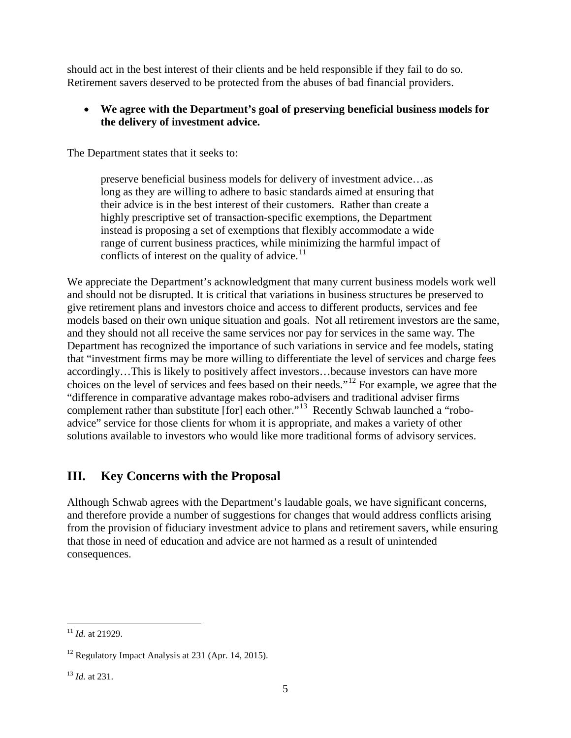should act in the best interest of their clients and be held responsible if they fail to do so. Retirement savers deserved to be protected from the abuses of bad financial providers.

### • **We agree with the Department's goal of preserving beneficial business models for the delivery of investment advice.**

The Department states that it seeks to:

preserve beneficial business models for delivery of investment advice…as long as they are willing to adhere to basic standards aimed at ensuring that their advice is in the best interest of their customers. Rather than create a highly prescriptive set of transaction-specific exemptions, the Department instead is proposing a set of exemptions that flexibly accommodate a wide range of current business practices, while minimizing the harmful impact of conflicts of interest on the quality of advice.<sup>[11](#page-4-0)</sup>

We appreciate the Department's acknowledgment that many current business models work well and should not be disrupted. It is critical that variations in business structures be preserved to give retirement plans and investors choice and access to different products, services and fee models based on their own unique situation and goals. Not all retirement investors are the same, and they should not all receive the same services nor pay for services in the same way. The Department has recognized the importance of such variations in service and fee models, stating that "investment firms may be more willing to differentiate the level of services and charge fees accordingly…This is likely to positively affect investors…because investors can have more choices on the level of services and fees based on their needs."[12](#page-4-1) For example, we agree that the "difference in comparative advantage makes robo-advisers and traditional adviser firms complement rather than substitute [for] each other."<sup>13</sup> Recently Schwab launched a "roboadvice" service for those clients for whom it is appropriate, and makes a variety of other solutions available to investors who would like more traditional forms of advisory services.

# **III. Key Concerns with the Proposal**

Although Schwab agrees with the Department's laudable goals, we have significant concerns, and therefore provide a number of suggestions for changes that would address conflicts arising from the provision of fiduciary investment advice to plans and retirement savers, while ensuring that those in need of education and advice are not harmed as a result of unintended consequences.

<span id="page-4-0"></span><sup>11</sup> *Id.* at 21929.  $\overline{a}$ 

<span id="page-4-1"></span> $12$  Regulatory Impact Analysis at 231 (Apr. 14, 2015).

<span id="page-4-2"></span><sup>13</sup> *Id.* at 231.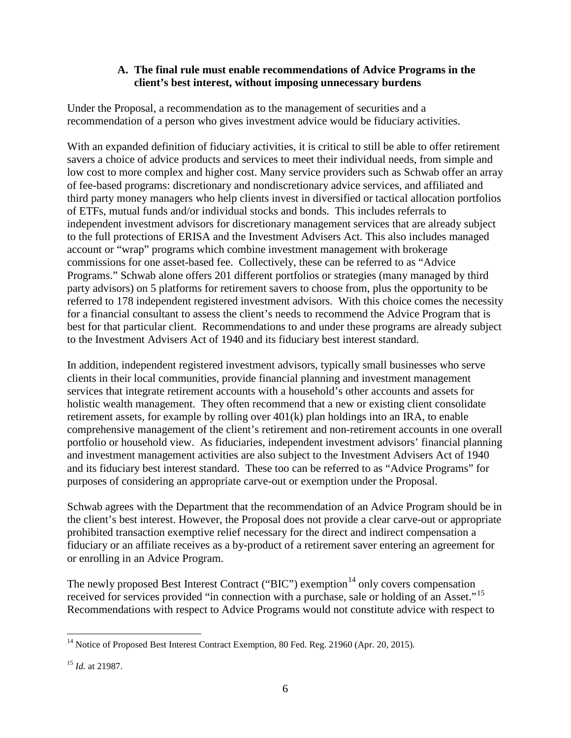## **A. The final rule must enable recommendations of Advice Programs in the client's best interest, without imposing unnecessary burdens**

Under the Proposal, a recommendation as to the management of securities and a recommendation of a person who gives investment advice would be fiduciary activities.

With an expanded definition of fiduciary activities, it is critical to still be able to offer retirement savers a choice of advice products and services to meet their individual needs, from simple and low cost to more complex and higher cost. Many service providers such as Schwab offer an array of fee-based programs: discretionary and nondiscretionary advice services, and affiliated and third party money managers who help clients invest in diversified or tactical allocation portfolios of ETFs, mutual funds and/or individual stocks and bonds. This includes referrals to independent investment advisors for discretionary management services that are already subject to the full protections of ERISA and the Investment Advisers Act. This also includes managed account or "wrap" programs which combine investment management with brokerage commissions for one asset-based fee. Collectively, these can be referred to as "Advice Programs." Schwab alone offers 201 different portfolios or strategies (many managed by third party advisors) on 5 platforms for retirement savers to choose from, plus the opportunity to be referred to 178 independent registered investment advisors. With this choice comes the necessity for a financial consultant to assess the client's needs to recommend the Advice Program that is best for that particular client. Recommendations to and under these programs are already subject to the Investment Advisers Act of 1940 and its fiduciary best interest standard.

In addition, independent registered investment advisors, typically small businesses who serve clients in their local communities, provide financial planning and investment management services that integrate retirement accounts with a household's other accounts and assets for holistic wealth management. They often recommend that a new or existing client consolidate retirement assets, for example by rolling over 401(k) plan holdings into an IRA, to enable comprehensive management of the client's retirement and non-retirement accounts in one overall portfolio or household view. As fiduciaries, independent investment advisors' financial planning and investment management activities are also subject to the Investment Advisers Act of 1940 and its fiduciary best interest standard. These too can be referred to as "Advice Programs" for purposes of considering an appropriate carve-out or exemption under the Proposal.

Schwab agrees with the Department that the recommendation of an Advice Program should be in the client's best interest. However, the Proposal does not provide a clear carve-out or appropriate prohibited transaction exemptive relief necessary for the direct and indirect compensation a fiduciary or an affiliate receives as a by-product of a retirement saver entering an agreement for or enrolling in an Advice Program.

The newly proposed Best Interest Contract ("BIC") exemption<sup>[14](#page-5-0)</sup> only covers compensation received for services provided "in connection with a purchase, sale or holding of an Asset."<sup>[15](#page-5-1)</sup> Recommendations with respect to Advice Programs would not constitute advice with respect to

<span id="page-5-0"></span><sup>&</sup>lt;sup>14</sup> Notice of Proposed Best Interest Contract Exemption, 80 Fed. Reg. 21960 (Apr. 20, 2015).  $\overline{a}$ 

<span id="page-5-1"></span><sup>15</sup> *Id.* at 21987.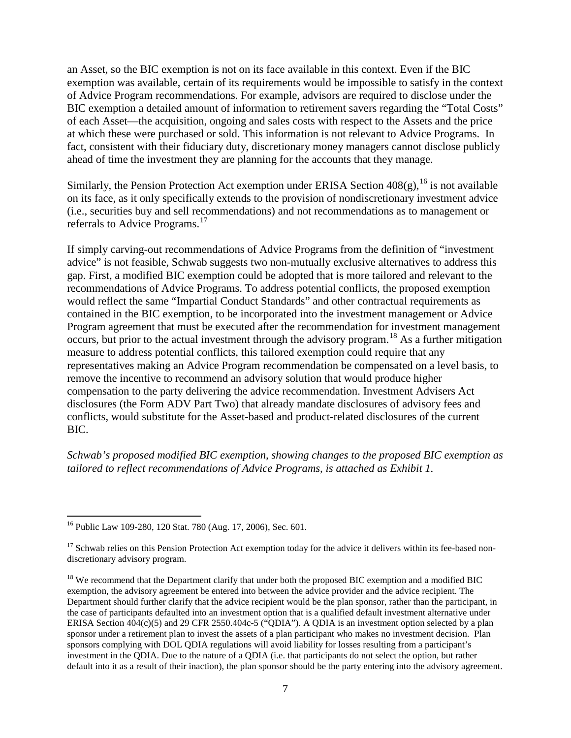an Asset, so the BIC exemption is not on its face available in this context. Even if the BIC exemption was available, certain of its requirements would be impossible to satisfy in the context of Advice Program recommendations. For example, advisors are required to disclose under the BIC exemption a detailed amount of information to retirement savers regarding the "Total Costs" of each Asset—the acquisition, ongoing and sales costs with respect to the Assets and the price at which these were purchased or sold. This information is not relevant to Advice Programs. In fact, consistent with their fiduciary duty, discretionary money managers cannot disclose publicly ahead of time the investment they are planning for the accounts that they manage.

Similarly, the Pension Protection Act exemption under ERISA Section  $408(g)$ , <sup>[16](#page-6-0)</sup> is not available on its face, as it only specifically extends to the provision of nondiscretionary investment advice (i.e., securities buy and sell recommendations) and not recommendations as to management or referrals to Advice Programs.<sup>[17](#page-6-1)</sup>

If simply carving-out recommendations of Advice Programs from the definition of "investment advice" is not feasible, Schwab suggests two non-mutually exclusive alternatives to address this gap. First, a modified BIC exemption could be adopted that is more tailored and relevant to the recommendations of Advice Programs. To address potential conflicts, the proposed exemption would reflect the same "Impartial Conduct Standards" and other contractual requirements as contained in the BIC exemption, to be incorporated into the investment management or Advice Program agreement that must be executed after the recommendation for investment management occurs, but prior to the actual investment through the advisory program.[18](#page-6-2) As a further mitigation measure to address potential conflicts, this tailored exemption could require that any representatives making an Advice Program recommendation be compensated on a level basis, to remove the incentive to recommend an advisory solution that would produce higher compensation to the party delivering the advice recommendation. Investment Advisers Act disclosures (the Form ADV Part Two) that already mandate disclosures of advisory fees and conflicts, would substitute for the Asset-based and product-related disclosures of the current BIC.

*Schwab's proposed modified BIC exemption, showing changes to the proposed BIC exemption as tailored to reflect recommendations of Advice Programs, is attached as Exhibit 1.*

<span id="page-6-0"></span><sup>&</sup>lt;sup>16</sup> Public Law 109-280, 120 Stat. 780 (Aug. 17, 2006), Sec. 601.  $\overline{a}$ 

<span id="page-6-1"></span> $17$  Schwab relies on this Pension Protection Act exemption today for the advice it delivers within its fee-based nondiscretionary advisory program.

<span id="page-6-2"></span><sup>&</sup>lt;sup>18</sup> We recommend that the Department clarify that under both the proposed BIC exemption and a modified BIC exemption, the advisory agreement be entered into between the advice provider and the advice recipient. The Department should further clarify that the advice recipient would be the plan sponsor, rather than the participant, in the case of participants defaulted into an investment option that is a qualified default investment alternative under ERISA Section 404(c)(5) and 29 CFR 2550.404c-5 ("QDIA"). A QDIA is an investment option selected by a plan sponsor under a retirement plan to invest the assets of a plan participant who makes no investment decision. Plan sponsors complying with DOL QDIA regulations will avoid liability for losses resulting from a participant's investment in the QDIA. Due to the nature of a QDIA (i.e. that participants do not select the option, but rather default into it as a result of their inaction), the plan sponsor should be the party entering into the advisory agreement.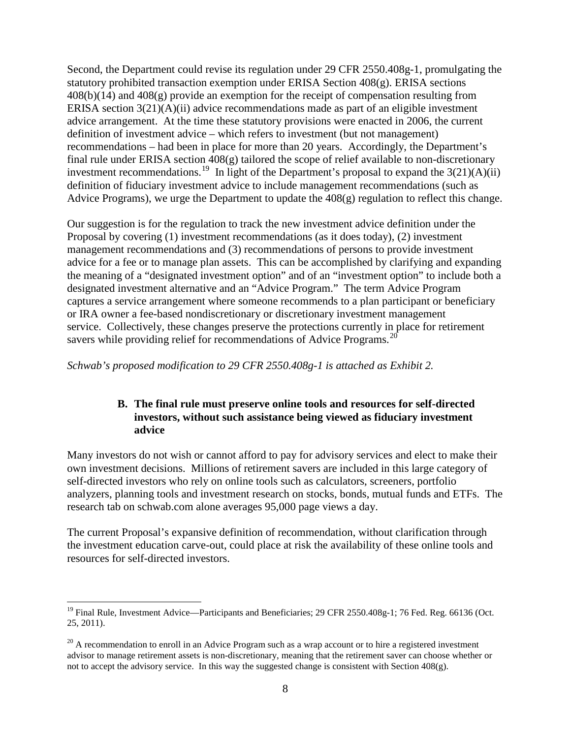Second, the Department could revise its regulation under 29 CFR 2550.408g-1, promulgating the statutory prohibited transaction exemption under ERISA Section 408(g). ERISA sections 408(b)(14) and 408(g) provide an exemption for the receipt of compensation resulting from ERISA section 3(21)(A)(ii) advice recommendations made as part of an eligible investment advice arrangement. At the time these statutory provisions were enacted in 2006, the current definition of investment advice – which refers to investment (but not management) recommendations – had been in place for more than 20 years. Accordingly, the Department's final rule under ERISA section 408(g) tailored the scope of relief available to non-discretionary investment recommendations.<sup>[19](#page-7-0)</sup> In light of the Department's proposal to expand the  $3(21)(A)(ii)$ definition of fiduciary investment advice to include management recommendations (such as Advice Programs), we urge the Department to update the 408(g) regulation to reflect this change.

Our suggestion is for the regulation to track the new investment advice definition under the Proposal by covering (1) investment recommendations (as it does today), (2) investment management recommendations and (3) recommendations of persons to provide investment advice for a fee or to manage plan assets. This can be accomplished by clarifying and expanding the meaning of a "designated investment option" and of an "investment option" to include both a designated investment alternative and an "Advice Program." The term Advice Program captures a service arrangement where someone recommends to a plan participant or beneficiary or IRA owner a fee-based nondiscretionary or discretionary investment management service. Collectively, these changes preserve the protections currently in place for retirement savers while providing relief for recommendations of Advice Programs.<sup>[20](#page-7-1)</sup>

*Schwab's proposed modification to 29 CFR 2550.408g-1 is attached as Exhibit 2.*

## **B. The final rule must preserve online tools and resources for self-directed investors, without such assistance being viewed as fiduciary investment advice**

Many investors do not wish or cannot afford to pay for advisory services and elect to make their own investment decisions. Millions of retirement savers are included in this large category of self-directed investors who rely on online tools such as calculators, screeners, portfolio analyzers, planning tools and investment research on stocks, bonds, mutual funds and ETFs. The research tab on schwab.com alone averages 95,000 page views a day.

The current Proposal's expansive definition of recommendation, without clarification through the investment education carve-out, could place at risk the availability of these online tools and resources for self-directed investors.

<span id="page-7-0"></span><sup>&</sup>lt;sup>19</sup> Final Rule, Investment Advice—Participants and Beneficiaries; 29 CFR 2550.408g-1; 76 Fed. Reg. 66136 (Oct. 25, 2011).  $\overline{a}$ 

<span id="page-7-1"></span> $^{20}$  A recommendation to enroll in an Advice Program such as a wrap account or to hire a registered investment advisor to manage retirement assets is non-discretionary, meaning that the retirement saver can choose whether or not to accept the advisory service. In this way the suggested change is consistent with Section 408(g).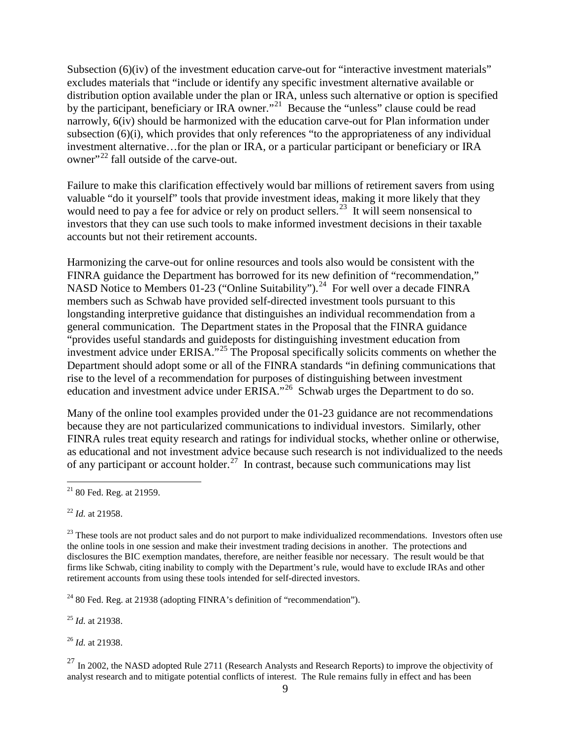Subsection  $(6)(iv)$  of the investment education carve-out for "interactive investment materials" excludes materials that "include or identify any specific investment alternative available or distribution option available under the plan or IRA, unless such alternative or option is specified by the participant, beneficiary or IRA owner."<sup>21</sup> Because the "unless" clause could be read narrowly, 6(iv) should be harmonized with the education carve-out for Plan information under subsection (6)(i), which provides that only references "to the appropriateness of any individual investment alternative…for the plan or IRA, or a particular participant or beneficiary or IRA owner"<sup>[22](#page-8-1)</sup> fall outside of the carve-out.

Failure to make this clarification effectively would bar millions of retirement savers from using valuable "do it yourself" tools that provide investment ideas, making it more likely that they would need to pay a fee for advice or rely on product sellers.<sup>[23](#page-8-2)</sup> It will seem nonsensical to investors that they can use such tools to make informed investment decisions in their taxable accounts but not their retirement accounts.

Harmonizing the carve-out for online resources and tools also would be consistent with the FINRA guidance the Department has borrowed for its new definition of "recommendation," NASD Notice to Members 01-23 ("Online Suitability").<sup>[24](#page-8-3)</sup> For well over a decade FINRA members such as Schwab have provided self-directed investment tools pursuant to this longstanding interpretive guidance that distinguishes an individual recommendation from a general communication. The Department states in the Proposal that the FINRA guidance "provides useful standards and guideposts for distinguishing investment education from investment advice under ERISA."[25](#page-8-4) The Proposal specifically solicits comments on whether the Department should adopt some or all of the FINRA standards "in defining communications that rise to the level of a recommendation for purposes of distinguishing between investment education and investment advice under ERISA."[26](#page-8-5) Schwab urges the Department to do so.

Many of the online tool examples provided under the 01-23 guidance are not recommendations because they are not particularized communications to individual investors. Similarly, other FINRA rules treat equity research and ratings for individual stocks, whether online or otherwise, as educational and not investment advice because such research is not individualized to the needs of any participant or account holder.<sup>[27](#page-8-6)</sup> In contrast, because such communications may list

<span id="page-8-3"></span> $^{24}$  80 Fed. Reg. at 21938 (adopting FINRA's definition of "recommendation").

<span id="page-8-4"></span><sup>25</sup> *Id.* at 21938.

<span id="page-8-5"></span><sup>26</sup> *Id.* at 21938.

<span id="page-8-0"></span> $21$  80 Fed. Reg. at 21959.  $\overline{a}$ 

<span id="page-8-1"></span><sup>22</sup> *Id.* at 21958.

<span id="page-8-2"></span> $^{23}$  These tools are not product sales and do not purport to make individualized recommendations. Investors often use the online tools in one session and make their investment trading decisions in another. The protections and disclosures the BIC exemption mandates, therefore, are neither feasible nor necessary. The result would be that firms like Schwab, citing inability to comply with the Department's rule, would have to exclude IRAs and other retirement accounts from using these tools intended for self-directed investors.

<span id="page-8-6"></span><sup>&</sup>lt;sup>27</sup> In 2002, the NASD adopted Rule 2711 (Research Analysts and Research Reports) to improve the objectivity of analyst research and to mitigate potential conflicts of interest. The Rule remains fully in effect and has been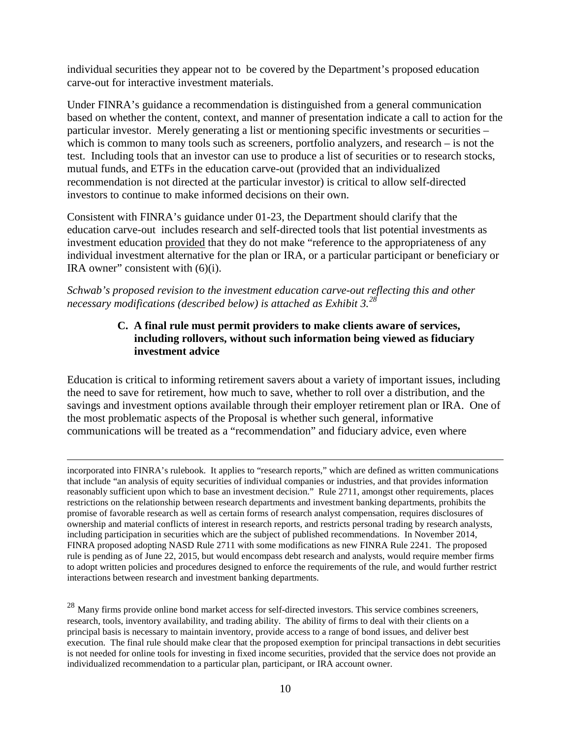individual securities they appear not to be covered by the Department's proposed education carve-out for interactive investment materials.

Under FINRA's guidance a recommendation is distinguished from a general communication based on whether the content, context, and manner of presentation indicate a call to action for the particular investor. Merely generating a list or mentioning specific investments or securities – which is common to many tools such as screeners, portfolio analyzers, and research – is not the test. Including tools that an investor can use to produce a list of securities or to research stocks, mutual funds, and ETFs in the education carve-out (provided that an individualized recommendation is not directed at the particular investor) is critical to allow self-directed investors to continue to make informed decisions on their own.

Consistent with FINRA's guidance under 01-23, the Department should clarify that the education carve-out includes research and self-directed tools that list potential investments as investment education provided that they do not make "reference to the appropriateness of any individual investment alternative for the plan or IRA, or a particular participant or beneficiary or IRA owner" consistent with (6)(i).

*Schwab's proposed revision to the investment education carve-out reflecting this and other necessary modifications (described below) is attached as Exhibit 3.[28](#page-9-0)*

## **C. A final rule must permit providers to make clients aware of services, including rollovers, without such information being viewed as fiduciary investment advice**

Education is critical to informing retirement savers about a variety of important issues, including the need to save for retirement, how much to save, whether to roll over a distribution, and the savings and investment options available through their employer retirement plan or IRA. One of the most problematic aspects of the Proposal is whether such general, informative communications will be treated as a "recommendation" and fiduciary advice, even where

 $\overline{a}$ 

incorporated into FINRA's rulebook. It applies to "research reports," which are defined as written communications that include "an analysis of equity securities of individual companies or industries, and that provides information reasonably sufficient upon which to base an investment decision." Rule 2711, amongst other requirements, places restrictions on the relationship between research departments and investment banking departments, prohibits the promise of favorable research as well as certain forms of research analyst compensation, requires disclosures of ownership and material conflicts of interest in research reports, and restricts personal trading by research analysts, including participation in securities which are the subject of published recommendations. In November 2014, FINRA proposed adopting NASD Rule 2711 with some modifications as new FINRA Rule 2241. The proposed rule is pending as of June 22, 2015, but would encompass debt research and analysts, would require member firms to adopt written policies and procedures designed to enforce the requirements of the rule, and would further restrict interactions between research and investment banking departments.

<span id="page-9-0"></span><sup>28</sup> Many firms provide online bond market access for self-directed investors. This service combines screeners, research, tools, inventory availability, and trading ability. The ability of firms to deal with their clients on a principal basis is necessary to maintain inventory, provide access to a range of bond issues, and deliver best execution. The final rule should make clear that the proposed exemption for principal transactions in debt securities is not needed for online tools for investing in fixed income securities, provided that the service does not provide an individualized recommendation to a particular plan, participant, or IRA account owner.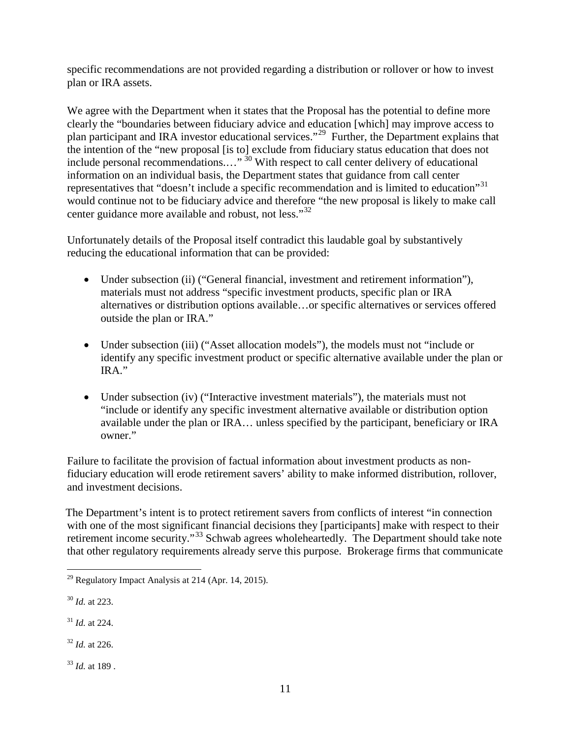specific recommendations are not provided regarding a distribution or rollover or how to invest plan or IRA assets.

We agree with the Department when it states that the Proposal has the potential to define more clearly the "boundaries between fiduciary advice and education [which] may improve access to plan participant and IRA investor educational services."<sup>29</sup> Further, the Department explains that the intention of the "new proposal [is to] exclude from fiduciary status education that does not include personal recommendations...."<sup>[30](#page-10-1)</sup> With respect to call center delivery of educational information on an individual basis, the Department states that guidance from call center representatives that "doesn't include a specific recommendation and is limited to education"[31](#page-10-2) would continue not to be fiduciary advice and therefore "the new proposal is likely to make call center guidance more available and robust, not less."<sup>[32](#page-10-3)</sup>

Unfortunately details of the Proposal itself contradict this laudable goal by substantively reducing the educational information that can be provided:

- Under subsection (ii) ("General financial, investment and retirement information"), materials must not address "specific investment products, specific plan or IRA alternatives or distribution options available…or specific alternatives or services offered outside the plan or IRA."
- Under subsection (iii) ("Asset allocation models"), the models must not "include or identify any specific investment product or specific alternative available under the plan or IRA."
- Under subsection (iv) ("Interactive investment materials"), the materials must not "include or identify any specific investment alternative available or distribution option available under the plan or IRA… unless specified by the participant, beneficiary or IRA owner."

Failure to facilitate the provision of factual information about investment products as nonfiduciary education will erode retirement savers' ability to make informed distribution, rollover, and investment decisions.

The Department's intent is to protect retirement savers from conflicts of interest "in connection with one of the most significant financial decisions they [participants] make with respect to their retirement income security."<sup>[33](#page-10-4)</sup> Schwab agrees wholeheartedly. The Department should take note that other regulatory requirements already serve this purpose. Brokerage firms that communicate

<span id="page-10-1"></span><sup>30</sup> *Id.* at 223.

- <span id="page-10-2"></span><sup>31</sup> *Id.* at 224.
- <span id="page-10-3"></span><sup>32</sup> *Id.* at 226.

<span id="page-10-4"></span><sup>33</sup> *Id.* at 189 .

<span id="page-10-0"></span> $29$  Regulatory Impact Analysis at 214 (Apr. 14, 2015).  $\overline{a}$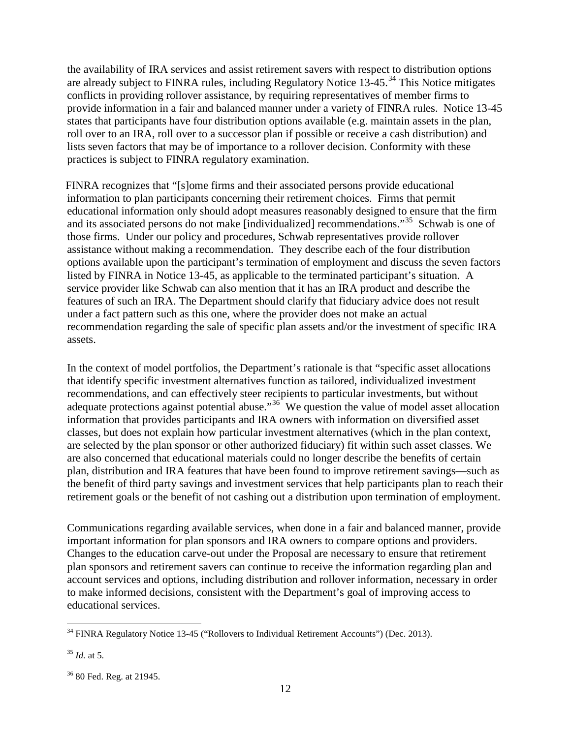the availability of IRA services and assist retirement savers with respect to distribution options are already subject to FINRA rules, including Regulatory Notice 13-45.<sup>[34](#page-11-0)</sup> This Notice mitigates conflicts in providing rollover assistance, by requiring representatives of member firms to provide information in a fair and balanced manner under a variety of FINRA rules. Notice 13-45 states that participants have four distribution options available (e.g. maintain assets in the plan, roll over to an IRA, roll over to a successor plan if possible or receive a cash distribution) and lists seven factors that may be of importance to a rollover decision. Conformity with these practices is subject to FINRA regulatory examination.

FINRA recognizes that "[s]ome firms and their associated persons provide educational information to plan participants concerning their retirement choices. Firms that permit educational information only should adopt measures reasonably designed to ensure that the firm and its associated persons do not make [individualized] recommendations."<sup>35</sup> Schwab is one of those firms. Under our policy and procedures, Schwab representatives provide rollover assistance without making a recommendation. They describe each of the four distribution options available upon the participant's termination of employment and discuss the seven factors listed by FINRA in Notice 13-45, as applicable to the terminated participant's situation. A service provider like Schwab can also mention that it has an IRA product and describe the features of such an IRA. The Department should clarify that fiduciary advice does not result under a fact pattern such as this one, where the provider does not make an actual recommendation regarding the sale of specific plan assets and/or the investment of specific IRA assets.

In the context of model portfolios, the Department's rationale is that "specific asset allocations that identify specific investment alternatives function as tailored, individualized investment recommendations, and can effectively steer recipients to particular investments, but without adequate protections against potential abuse." $36<sup>2</sup>$  $36<sup>2</sup>$  We question the value of model asset allocation information that provides participants and IRA owners with information on diversified asset classes, but does not explain how particular investment alternatives (which in the plan context, are selected by the plan sponsor or other authorized fiduciary) fit within such asset classes. We are also concerned that educational materials could no longer describe the benefits of certain plan, distribution and IRA features that have been found to improve retirement savings—such as the benefit of third party savings and investment services that help participants plan to reach their retirement goals or the benefit of not cashing out a distribution upon termination of employment.

Communications regarding available services, when done in a fair and balanced manner, provide important information for plan sponsors and IRA owners to compare options and providers. Changes to the education carve-out under the Proposal are necessary to ensure that retirement plan sponsors and retirement savers can continue to receive the information regarding plan and account services and options, including distribution and rollover information, necessary in order to make informed decisions, consistent with the Department's goal of improving access to educational services.

 $\overline{a}$ 

<span id="page-11-0"></span> $34$  FINRA Regulatory Notice 13-45 ("Rollovers to Individual Retirement Accounts") (Dec. 2013).

<span id="page-11-1"></span><sup>35</sup> *Id.* at 5.

<span id="page-11-2"></span> $36$  80 Fed. Reg. at 21945.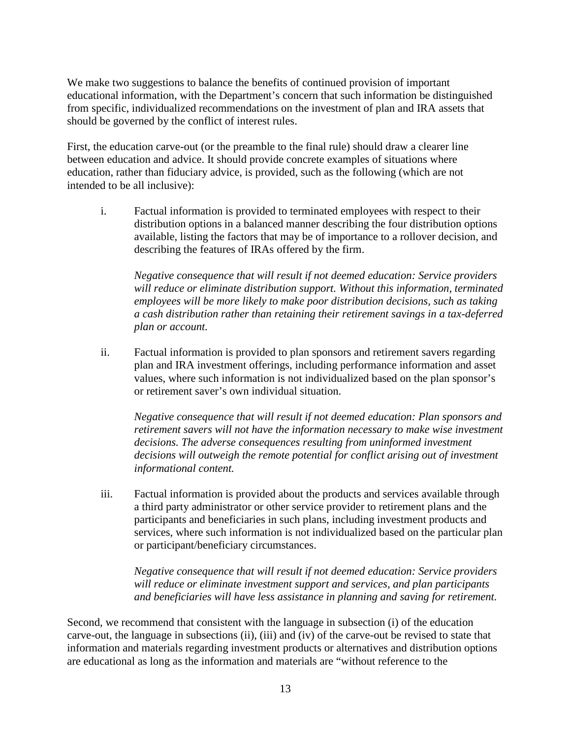We make two suggestions to balance the benefits of continued provision of important educational information, with the Department's concern that such information be distinguished from specific, individualized recommendations on the investment of plan and IRA assets that should be governed by the conflict of interest rules.

First, the education carve-out (or the preamble to the final rule) should draw a clearer line between education and advice. It should provide concrete examples of situations where education, rather than fiduciary advice, is provided, such as the following (which are not intended to be all inclusive):

i. Factual information is provided to terminated employees with respect to their distribution options in a balanced manner describing the four distribution options available, listing the factors that may be of importance to a rollover decision, and describing the features of IRAs offered by the firm.

*Negative consequence that will result if not deemed education: Service providers will reduce or eliminate distribution support. Without this information, terminated employees will be more likely to make poor distribution decisions, such as taking a cash distribution rather than retaining their retirement savings in a tax-deferred plan or account.*

ii. Factual information is provided to plan sponsors and retirement savers regarding plan and IRA investment offerings, including performance information and asset values, where such information is not individualized based on the plan sponsor's or retirement saver's own individual situation.

*Negative consequence that will result if not deemed education: Plan sponsors and retirement savers will not have the information necessary to make wise investment decisions. The adverse consequences resulting from uninformed investment decisions will outweigh the remote potential for conflict arising out of investment informational content.*

iii. Factual information is provided about the products and services available through a third party administrator or other service provider to retirement plans and the participants and beneficiaries in such plans, including investment products and services, where such information is not individualized based on the particular plan or participant/beneficiary circumstances.

*Negative consequence that will result if not deemed education: Service providers will reduce or eliminate investment support and services, and plan participants and beneficiaries will have less assistance in planning and saving for retirement.*

Second, we recommend that consistent with the language in subsection (i) of the education carve-out, the language in subsections (ii), (iii) and (iv) of the carve-out be revised to state that information and materials regarding investment products or alternatives and distribution options are educational as long as the information and materials are "without reference to the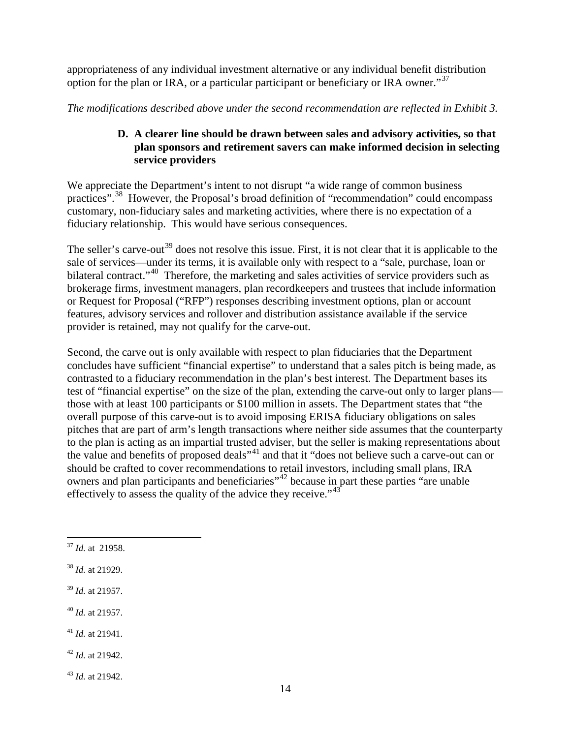appropriateness of any individual investment alternative or any individual benefit distribution option for the plan or IRA, or a particular participant or beneficiary or IRA owner.<sup>[37](#page-13-0)</sup>

*The modifications described above under the second recommendation are reflected in Exhibit 3.*

## **D. A clearer line should be drawn between sales and advisory activities, so that plan sponsors and retirement savers can make informed decision in selecting service providers**

We appreciate the Department's intent to not disrupt "a wide range of common business practices".[38](#page-13-1) However, the Proposal's broad definition of "recommendation" could encompass customary, non-fiduciary sales and marketing activities, where there is no expectation of a fiduciary relationship. This would have serious consequences.

The seller's carve-out<sup>[39](#page-13-2)</sup> does not resolve this issue. First, it is not clear that it is applicable to the sale of services—under its terms, it is available only with respect to a "sale, purchase, loan or bilateral contract."<sup>40</sup> Therefore, the marketing and sales activities of service providers such as brokerage firms, investment managers, plan recordkeepers and trustees that include information or Request for Proposal ("RFP") responses describing investment options, plan or account features, advisory services and rollover and distribution assistance available if the service provider is retained, may not qualify for the carve-out.

Second, the carve out is only available with respect to plan fiduciaries that the Department concludes have sufficient "financial expertise" to understand that a sales pitch is being made, as contrasted to a fiduciary recommendation in the plan's best interest. The Department bases its test of "financial expertise" on the size of the plan, extending the carve-out only to larger plans those with at least 100 participants or \$100 million in assets. The Department states that "the overall purpose of this carve-out is to avoid imposing ERISA fiduciary obligations on sales pitches that are part of arm's length transactions where neither side assumes that the counterparty to the plan is acting as an impartial trusted adviser, but the seller is making representations about the value and benefits of proposed deals<sup>3[41](#page-13-4)</sup> and that it "does not believe such a carve-out can or should be crafted to cover recommendations to retail investors, including small plans, IRA owners and plan participants and beneficiaries<sup>"[42](#page-13-5)</sup> because in part these parties "are unable" effectively to assess the quality of the advice they receive."<sup>[43](#page-13-6)</sup>

- <span id="page-13-2"></span><sup>39</sup> *Id.* at 21957.
- <span id="page-13-3"></span><sup>40</sup> *Id.* at 21957.
- <span id="page-13-4"></span><sup>41</sup> *Id.* at 21941.
- <span id="page-13-5"></span><sup>42</sup> *Id.* at 21942.
- <span id="page-13-6"></span><sup>43</sup> *Id.* at 21942.

<span id="page-13-0"></span><sup>37</sup> *Id.* at 21958.  $\overline{a}$ 

<span id="page-13-1"></span><sup>38</sup> *Id.* at 21929.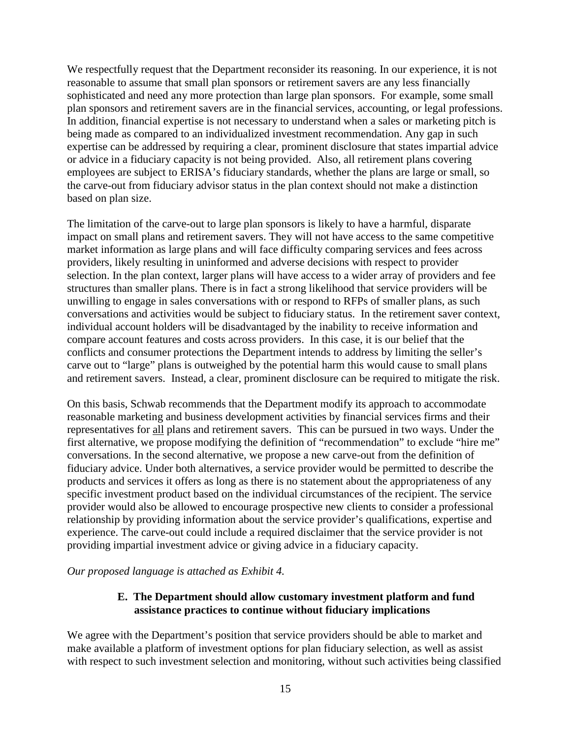We respectfully request that the Department reconsider its reasoning. In our experience, it is not reasonable to assume that small plan sponsors or retirement savers are any less financially sophisticated and need any more protection than large plan sponsors. For example, some small plan sponsors and retirement savers are in the financial services, accounting, or legal professions. In addition, financial expertise is not necessary to understand when a sales or marketing pitch is being made as compared to an individualized investment recommendation. Any gap in such expertise can be addressed by requiring a clear, prominent disclosure that states impartial advice or advice in a fiduciary capacity is not being provided. Also, all retirement plans covering employees are subject to ERISA's fiduciary standards, whether the plans are large or small, so the carve-out from fiduciary advisor status in the plan context should not make a distinction based on plan size.

The limitation of the carve-out to large plan sponsors is likely to have a harmful, disparate impact on small plans and retirement savers. They will not have access to the same competitive market information as large plans and will face difficulty comparing services and fees across providers, likely resulting in uninformed and adverse decisions with respect to provider selection. In the plan context, larger plans will have access to a wider array of providers and fee structures than smaller plans. There is in fact a strong likelihood that service providers will be unwilling to engage in sales conversations with or respond to RFPs of smaller plans, as such conversations and activities would be subject to fiduciary status. In the retirement saver context, individual account holders will be disadvantaged by the inability to receive information and compare account features and costs across providers. In this case, it is our belief that the conflicts and consumer protections the Department intends to address by limiting the seller's carve out to "large" plans is outweighed by the potential harm this would cause to small plans and retirement savers. Instead, a clear, prominent disclosure can be required to mitigate the risk.

On this basis, Schwab recommends that the Department modify its approach to accommodate reasonable marketing and business development activities by financial services firms and their representatives for all plans and retirement savers. This can be pursued in two ways. Under the first alternative, we propose modifying the definition of "recommendation" to exclude "hire me" conversations. In the second alternative, we propose a new carve-out from the definition of fiduciary advice. Under both alternatives, a service provider would be permitted to describe the products and services it offers as long as there is no statement about the appropriateness of any specific investment product based on the individual circumstances of the recipient. The service provider would also be allowed to encourage prospective new clients to consider a professional relationship by providing information about the service provider's qualifications, expertise and experience. The carve-out could include a required disclaimer that the service provider is not providing impartial investment advice or giving advice in a fiduciary capacity.

*Our proposed language is attached as Exhibit 4.*

## **E. The Department should allow customary investment platform and fund assistance practices to continue without fiduciary implications**

We agree with the Department's position that service providers should be able to market and make available a platform of investment options for plan fiduciary selection, as well as assist with respect to such investment selection and monitoring, without such activities being classified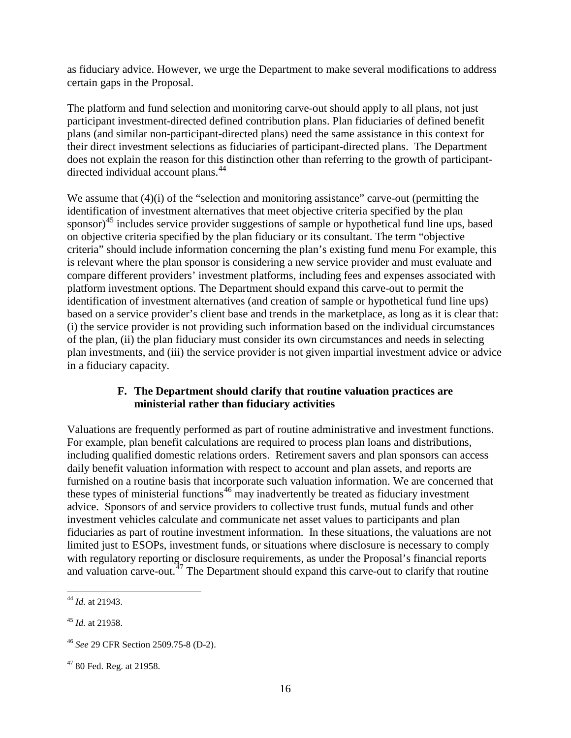as fiduciary advice. However, we urge the Department to make several modifications to address certain gaps in the Proposal.

The platform and fund selection and monitoring carve-out should apply to all plans, not just participant investment-directed defined contribution plans. Plan fiduciaries of defined benefit plans (and similar non-participant-directed plans) need the same assistance in this context for their direct investment selections as fiduciaries of participant-directed plans. The Department does not explain the reason for this distinction other than referring to the growth of participant-directed individual account plans.<sup>[44](#page-15-0)</sup>

We assume that (4)(i) of the "selection and monitoring assistance" carve-out (permitting the identification of investment alternatives that meet objective criteria specified by the plan sponsor)<sup>[45](#page-15-1)</sup> includes service provider suggestions of sample or hypothetical fund line ups, based on objective criteria specified by the plan fiduciary or its consultant. The term "objective criteria" should include information concerning the plan's existing fund menu For example, this is relevant where the plan sponsor is considering a new service provider and must evaluate and compare different providers' investment platforms, including fees and expenses associated with platform investment options. The Department should expand this carve-out to permit the identification of investment alternatives (and creation of sample or hypothetical fund line ups) based on a service provider's client base and trends in the marketplace, as long as it is clear that: (i) the service provider is not providing such information based on the individual circumstances of the plan, (ii) the plan fiduciary must consider its own circumstances and needs in selecting plan investments, and (iii) the service provider is not given impartial investment advice or advice in a fiduciary capacity.

## **F. The Department should clarify that routine valuation practices are ministerial rather than fiduciary activities**

Valuations are frequently performed as part of routine administrative and investment functions. For example, plan benefit calculations are required to process plan loans and distributions, including qualified domestic relations orders. Retirement savers and plan sponsors can access daily benefit valuation information with respect to account and plan assets, and reports are furnished on a routine basis that incorporate such valuation information. We are concerned that these types of ministerial functions<sup>[46](#page-15-2)</sup> may inadvertently be treated as fiduciary investment advice. Sponsors of and service providers to collective trust funds, mutual funds and other investment vehicles calculate and communicate net asset values to participants and plan fiduciaries as part of routine investment information. In these situations, the valuations are not limited just to ESOPs, investment funds, or situations where disclosure is necessary to comply with regulatory reporting or disclosure requirements, as under the Proposal's financial reports and valuation carve-out.<sup> $47$ </sup> The Department should expand this carve-out to clarify that routine

<span id="page-15-0"></span><sup>44</sup> *Id.* at 21943.  $\overline{a}$ 

<span id="page-15-1"></span><sup>45</sup> *Id.* at 21958.

<span id="page-15-2"></span><sup>46</sup> *See* 29 CFR Section 2509.75-8 (D-2).

<span id="page-15-3"></span> $4780$  Fed. Reg. at 21958.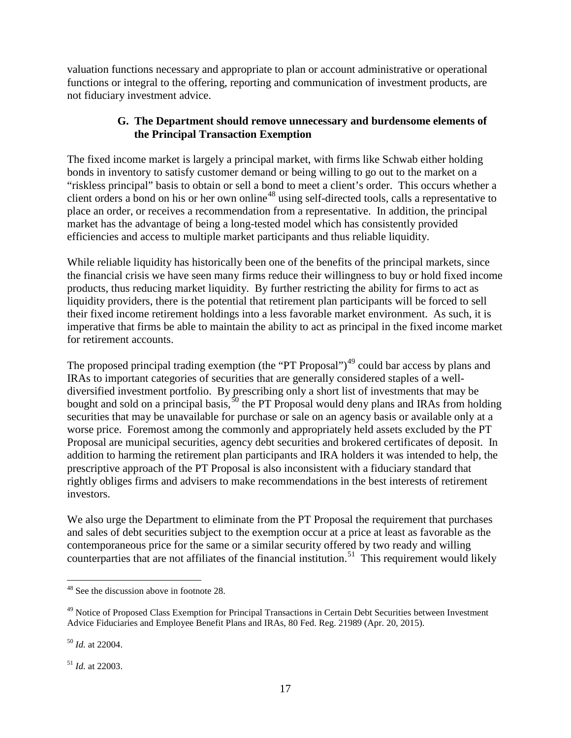valuation functions necessary and appropriate to plan or account administrative or operational functions or integral to the offering, reporting and communication of investment products, are not fiduciary investment advice.

### **G. The Department should remove unnecessary and burdensome elements of the Principal Transaction Exemption**

The fixed income market is largely a principal market, with firms like Schwab either holding bonds in inventory to satisfy customer demand or being willing to go out to the market on a "riskless principal" basis to obtain or sell a bond to meet a client's order. This occurs whether a client orders a bond on his or her own online<sup>[48](#page-16-0)</sup> using self-directed tools, calls a representative to place an order, or receives a recommendation from a representative. In addition, the principal market has the advantage of being a long-tested model which has consistently provided efficiencies and access to multiple market participants and thus reliable liquidity.

While reliable liquidity has historically been one of the benefits of the principal markets, since the financial crisis we have seen many firms reduce their willingness to buy or hold fixed income products, thus reducing market liquidity. By further restricting the ability for firms to act as liquidity providers, there is the potential that retirement plan participants will be forced to sell their fixed income retirement holdings into a less favorable market environment. As such, it is imperative that firms be able to maintain the ability to act as principal in the fixed income market for retirement accounts.

The proposed principal trading exemption (the "PT Proposal")<sup>[49](#page-16-1)</sup> could bar access by plans and IRAs to important categories of securities that are generally considered staples of a welldiversified investment portfolio. By prescribing only a short list of investments that may be bought and sold on a principal basis,  $\frac{1}{50}$  $\frac{1}{50}$  $\frac{1}{50}$  the PT Proposal would deny plans and IRAs from holding securities that may be unavailable for purchase or sale on an agency basis or available only at a worse price. Foremost among the commonly and appropriately held assets excluded by the PT Proposal are municipal securities, agency debt securities and brokered certificates of deposit. In addition to harming the retirement plan participants and IRA holders it was intended to help, the prescriptive approach of the PT Proposal is also inconsistent with a fiduciary standard that rightly obliges firms and advisers to make recommendations in the best interests of retirement investors.

We also urge the Department to eliminate from the PT Proposal the requirement that purchases and sales of debt securities subject to the exemption occur at a price at least as favorable as the contemporaneous price for the same or a similar security offered by two ready and willing counterparties that are not affiliates of the financial institution.<sup>[51](#page-16-3)</sup> This requirement would likely

<span id="page-16-0"></span> $48$  See the discussion above in footnote 28.  $\overline{a}$ 

<span id="page-16-1"></span><sup>&</sup>lt;sup>49</sup> Notice of Proposed Class Exemption for Principal Transactions in Certain Debt Securities between Investment Advice Fiduciaries and Employee Benefit Plans and IRAs, 80 Fed. Reg. 21989 (Apr. 20, 2015).

<span id="page-16-2"></span><sup>50</sup> *Id.* at 22004.

<span id="page-16-3"></span><sup>51</sup> *Id.* at 22003.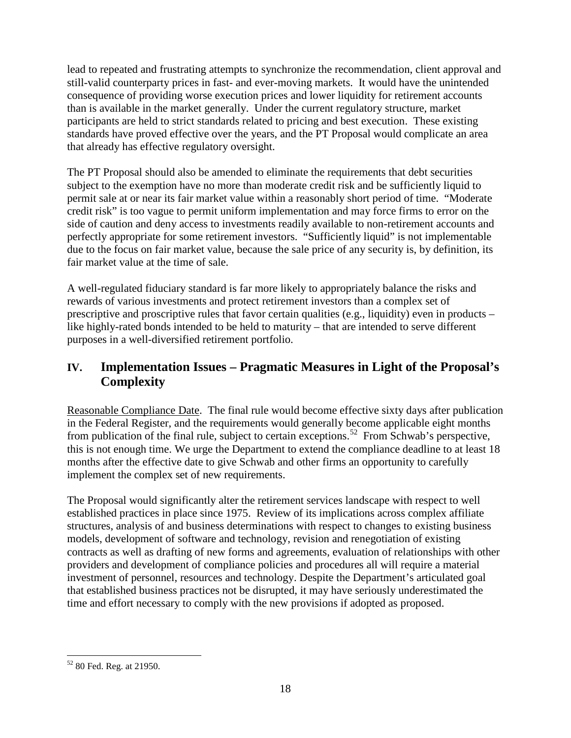lead to repeated and frustrating attempts to synchronize the recommendation, client approval and still-valid counterparty prices in fast- and ever-moving markets. It would have the unintended consequence of providing worse execution prices and lower liquidity for retirement accounts than is available in the market generally. Under the current regulatory structure, market participants are held to strict standards related to pricing and best execution. These existing standards have proved effective over the years, and the PT Proposal would complicate an area that already has effective regulatory oversight.

The PT Proposal should also be amended to eliminate the requirements that debt securities subject to the exemption have no more than moderate credit risk and be sufficiently liquid to permit sale at or near its fair market value within a reasonably short period of time. "Moderate credit risk" is too vague to permit uniform implementation and may force firms to error on the side of caution and deny access to investments readily available to non-retirement accounts and perfectly appropriate for some retirement investors. "Sufficiently liquid" is not implementable due to the focus on fair market value, because the sale price of any security is, by definition, its fair market value at the time of sale.

A well-regulated fiduciary standard is far more likely to appropriately balance the risks and rewards of various investments and protect retirement investors than a complex set of prescriptive and proscriptive rules that favor certain qualities (e.g., liquidity) even in products – like highly-rated bonds intended to be held to maturity – that are intended to serve different purposes in a well-diversified retirement portfolio.

## **IV. Implementation Issues – Pragmatic Measures in Light of the Proposal's Complexity**

Reasonable Compliance Date. The final rule would become effective sixty days after publication in the Federal Register, and the requirements would generally become applicable eight months from publication of the final rule, subject to certain exceptions.<sup>52</sup> From Schwab's perspective, this is not enough time. We urge the Department to extend the compliance deadline to at least 18 months after the effective date to give Schwab and other firms an opportunity to carefully implement the complex set of new requirements.

The Proposal would significantly alter the retirement services landscape with respect to well established practices in place since 1975. Review of its implications across complex affiliate structures, analysis of and business determinations with respect to changes to existing business models, development of software and technology, revision and renegotiation of existing contracts as well as drafting of new forms and agreements, evaluation of relationships with other providers and development of compliance policies and procedures all will require a material investment of personnel, resources and technology. Despite the Department's articulated goal that established business practices not be disrupted, it may have seriously underestimated the time and effort necessary to comply with the new provisions if adopted as proposed.

<span id="page-17-0"></span><sup>52</sup> 80 Fed. Reg. at 21950.  $\overline{a}$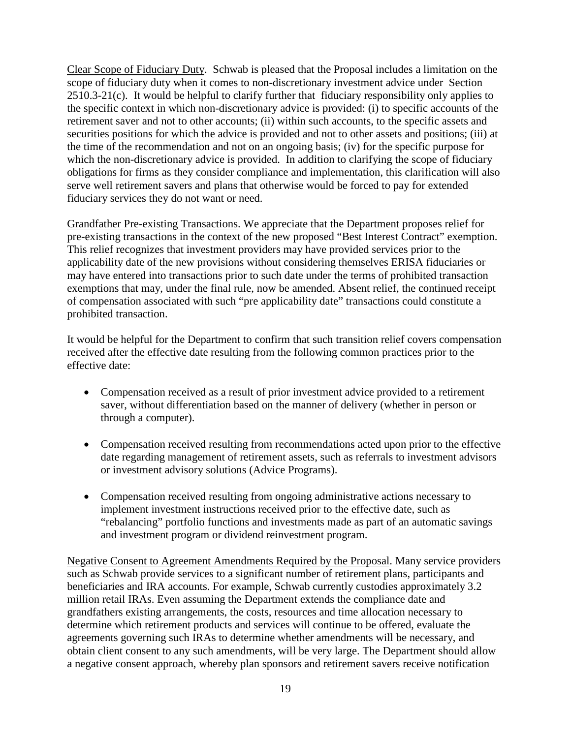Clear Scope of Fiduciary Duty. Schwab is pleased that the Proposal includes a limitation on the scope of fiduciary duty when it comes to non-discretionary investment advice under Section 2510.3-21(c). It would be helpful to clarify further that fiduciary responsibility only applies to the specific context in which non-discretionary advice is provided: (i) to specific accounts of the retirement saver and not to other accounts; (ii) within such accounts, to the specific assets and securities positions for which the advice is provided and not to other assets and positions; (iii) at the time of the recommendation and not on an ongoing basis; (iv) for the specific purpose for which the non-discretionary advice is provided. In addition to clarifying the scope of fiduciary obligations for firms as they consider compliance and implementation, this clarification will also serve well retirement savers and plans that otherwise would be forced to pay for extended fiduciary services they do not want or need.

Grandfather Pre-existing Transactions. We appreciate that the Department proposes relief for pre-existing transactions in the context of the new proposed "Best Interest Contract" exemption. This relief recognizes that investment providers may have provided services prior to the applicability date of the new provisions without considering themselves ERISA fiduciaries or may have entered into transactions prior to such date under the terms of prohibited transaction exemptions that may, under the final rule, now be amended. Absent relief, the continued receipt of compensation associated with such "pre applicability date" transactions could constitute a prohibited transaction.

It would be helpful for the Department to confirm that such transition relief covers compensation received after the effective date resulting from the following common practices prior to the effective date:

- Compensation received as a result of prior investment advice provided to a retirement saver, without differentiation based on the manner of delivery (whether in person or through a computer).
- Compensation received resulting from recommendations acted upon prior to the effective date regarding management of retirement assets, such as referrals to investment advisors or investment advisory solutions (Advice Programs).
- Compensation received resulting from ongoing administrative actions necessary to implement investment instructions received prior to the effective date, such as "rebalancing" portfolio functions and investments made as part of an automatic savings and investment program or dividend reinvestment program.

Negative Consent to Agreement Amendments Required by the Proposal. Many service providers such as Schwab provide services to a significant number of retirement plans, participants and beneficiaries and IRA accounts. For example, Schwab currently custodies approximately 3.2 million retail IRAs. Even assuming the Department extends the compliance date and grandfathers existing arrangements, the costs, resources and time allocation necessary to determine which retirement products and services will continue to be offered, evaluate the agreements governing such IRAs to determine whether amendments will be necessary, and obtain client consent to any such amendments, will be very large. The Department should allow a negative consent approach, whereby plan sponsors and retirement savers receive notification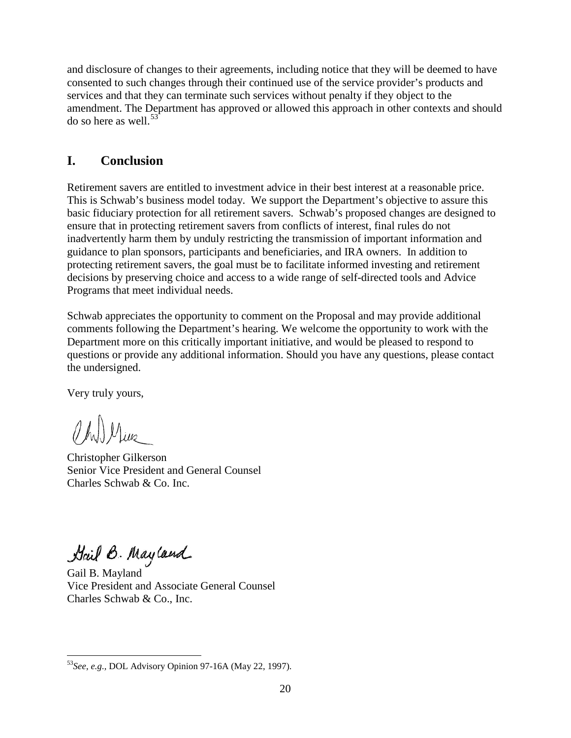and disclosure of changes to their agreements, including notice that they will be deemed to have consented to such changes through their continued use of the service provider's products and services and that they can terminate such services without penalty if they object to the amendment. The Department has approved or allowed this approach in other contexts and should  $\frac{d}{d}$  so here as well.<sup>[53](#page-19-0)</sup>

# **I. Conclusion**

Retirement savers are entitled to investment advice in their best interest at a reasonable price. This is Schwab's business model today. We support the Department's objective to assure this basic fiduciary protection for all retirement savers. Schwab's proposed changes are designed to ensure that in protecting retirement savers from conflicts of interest, final rules do not inadvertently harm them by unduly restricting the transmission of important information and guidance to plan sponsors, participants and beneficiaries, and IRA owners. In addition to protecting retirement savers, the goal must be to facilitate informed investing and retirement decisions by preserving choice and access to a wide range of self-directed tools and Advice Programs that meet individual needs.

Schwab appreciates the opportunity to comment on the Proposal and may provide additional comments following the Department's hearing. We welcome the opportunity to work with the Department more on this critically important initiative, and would be pleased to respond to questions or provide any additional information. Should you have any questions, please contact the undersigned.

Very truly yours,

Ohi) Min

Christopher Gilkerson Senior Vice President and General Counsel Charles Schwab & Co. Inc.

Gail B. Mayland

Gail B. Mayland Vice President and Associate General Counsel Charles Schwab & Co., Inc.

<span id="page-19-0"></span><sup>53</sup>*See*, *e.g.,* DOL Advisory Opinion 97-16A (May 22, 1997).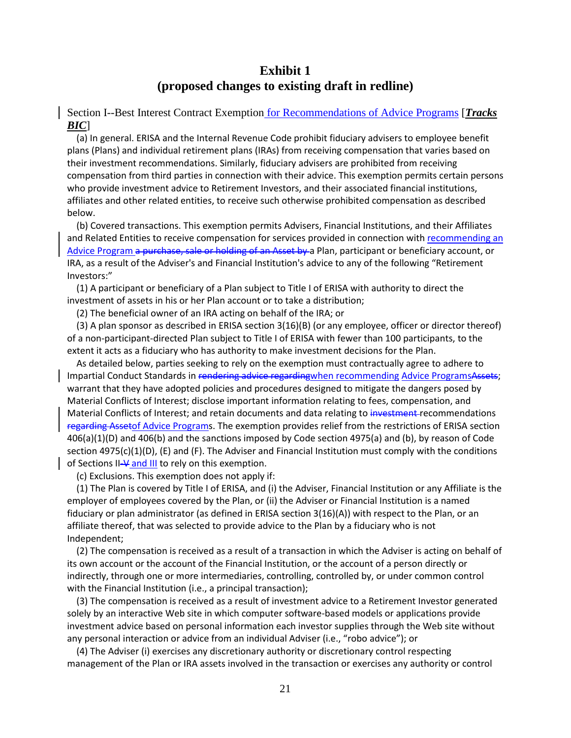## **Exhibit 1 (proposed changes to existing draft in redline)**

Section I--Best Interest Contract Exemption for Recommendations of Advice Programs [*Tracks BIC*]

 (a) In general. ERISA and the Internal Revenue Code prohibit fiduciary advisers to employee benefit plans (Plans) and individual retirement plans (IRAs) from receiving compensation that varies based on their investment recommendations. Similarly, fiduciary advisers are prohibited from receiving compensation from third parties in connection with their advice. This exemption permits certain persons who provide investment advice to Retirement Investors, and their associated financial institutions, affiliates and other related entities, to receive such otherwise prohibited compensation as described below.

 (b) Covered transactions. This exemption permits Advisers, Financial Institutions, and their Affiliates and Related Entities to receive compensation for services provided in connection with recommending an Advice Program a purchase, sale or holding of an Asset by a Plan, participant or beneficiary account, or IRA, as a result of the Adviser's and Financial Institution's advice to any of the following "Retirement Investors:"

 (1) A participant or beneficiary of a Plan subject to Title I of ERISA with authority to direct the investment of assets in his or her Plan account or to take a distribution;

(2) The beneficial owner of an IRA acting on behalf of the IRA; or

 (3) A plan sponsor as described in ERISA section 3(16)(B) (or any employee, officer or director thereof) of a non-participant-directed Plan subject to Title I of ERISA with fewer than 100 participants, to the extent it acts as a fiduciary who has authority to make investment decisions for the Plan.

 As detailed below, parties seeking to rely on the exemption must contractually agree to adhere to Impartial Conduct Standards in rendering advice regarding when recommending Advice ProgramsAssets; warrant that they have adopted policies and procedures designed to mitigate the dangers posed by Material Conflicts of Interest; disclose important information relating to fees, compensation, and Material Conflicts of Interest; and retain documents and data relating to investment-recommendations regarding Assetof Advice Programs. The exemption provides relief from the restrictions of ERISA section 406(a)(1)(D) and 406(b) and the sanctions imposed by Code section 4975(a) and (b), by reason of Code section 4975(c)(1)(D), (E) and (F). The Adviser and Financial Institution must comply with the conditions of Sections II- $\frac{1}{2}$  and III to rely on this exemption.

(c) Exclusions. This exemption does not apply if:

 (1) The Plan is covered by Title I of ERISA, and (i) the Adviser, Financial Institution or any Affiliate is the employer of employees covered by the Plan, or (ii) the Adviser or Financial Institution is a named fiduciary or plan administrator (as defined in ERISA section 3(16)(A)) with respect to the Plan, or an affiliate thereof, that was selected to provide advice to the Plan by a fiduciary who is not Independent;

 (2) The compensation is received as a result of a transaction in which the Adviser is acting on behalf of its own account or the account of the Financial Institution, or the account of a person directly or indirectly, through one or more intermediaries, controlling, controlled by, or under common control with the Financial Institution (i.e., a principal transaction);

 (3) The compensation is received as a result of investment advice to a Retirement Investor generated solely by an interactive Web site in which computer software-based models or applications provide investment advice based on personal information each investor supplies through the Web site without any personal interaction or advice from an individual Adviser (i.e., "robo advice"); or

 (4) The Adviser (i) exercises any discretionary authority or discretionary control respecting management of the Plan or IRA assets involved in the transaction or exercises any authority or control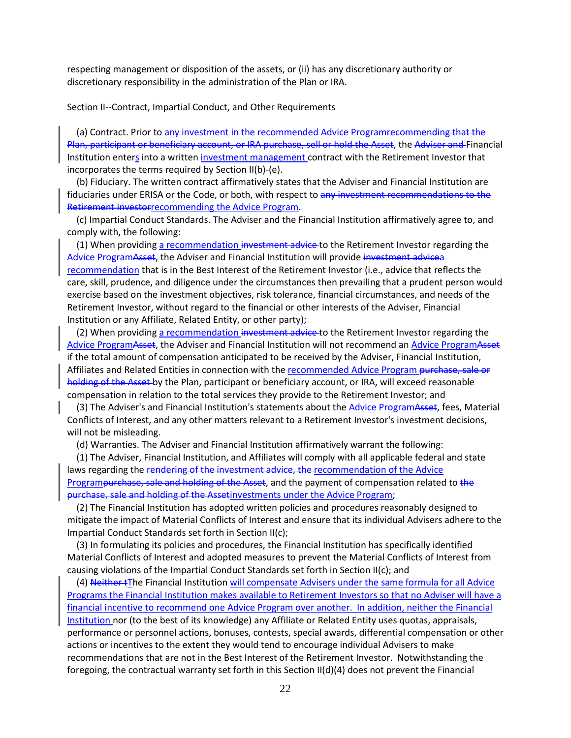respecting management or disposition of the assets, or (ii) has any discretionary authority or discretionary responsibility in the administration of the Plan or IRA.

Section II--Contract, Impartial Conduct, and Other Requirements

(a) Contract. Prior to any investment in the recommended Advice Programrecommending that the Plan, participant or beneficiary account, or IRA purchase, sell or hold the Asset, the Adviser and Financial Institution enters into a written investment management contract with the Retirement Investor that incorporates the terms required by Section II(b)-(e).

 (b) Fiduciary. The written contract affirmatively states that the Adviser and Financial Institution are fiduciaries under ERISA or the Code, or both, with respect to any investment recommendations to the Retirement Investorrecommending the Advice Program.

 (c) Impartial Conduct Standards. The Adviser and the Financial Institution affirmatively agree to, and comply with, the following:

(1) When providing a recommendation investment advice to the Retirement Investor regarding the Advice ProgramAsset, the Adviser and Financial Institution will provide investment advicea recommendation that is in the Best Interest of the Retirement Investor (i.e., advice that reflects the care, skill, prudence, and diligence under the circumstances then prevailing that a prudent person would exercise based on the investment objectives, risk tolerance, financial circumstances, and needs of the Retirement Investor, without regard to the financial or other interests of the Adviser, Financial Institution or any Affiliate, Related Entity, or other party);

(2) When providing a recommendation investment advice to the Retirement Investor regarding the Advice ProgramAsset, the Adviser and Financial Institution will not recommend an Advice ProgramAsset if the total amount of compensation anticipated to be received by the Adviser, Financial Institution, Affiliates and Related Entities in connection with the recommended Advice Program purchase, sale or holding of the Asset by the Plan, participant or beneficiary account, or IRA, will exceed reasonable compensation in relation to the total services they provide to the Retirement Investor; and

(3) The Adviser's and Financial Institution's statements about the Advice ProgramAsset, fees, Material Conflicts of Interest, and any other matters relevant to a Retirement Investor's investment decisions, will not be misleading.

(d) Warranties. The Adviser and Financial Institution affirmatively warrant the following:

 (1) The Adviser, Financial Institution, and Affiliates will comply with all applicable federal and state laws regarding the rendering of the investment advice, the recommendation of the Advice Programpurchase, sale and holding of the Asset, and the payment of compensation related to the purchase, sale and holding of the Assetinvestments under the Advice Program;

 (2) The Financial Institution has adopted written policies and procedures reasonably designed to mitigate the impact of Material Conflicts of Interest and ensure that its individual Advisers adhere to the Impartial Conduct Standards set forth in Section II(c);

 (3) In formulating its policies and procedures, the Financial Institution has specifically identified Material Conflicts of Interest and adopted measures to prevent the Material Conflicts of Interest from causing violations of the Impartial Conduct Standards set forth in Section II(c); and

 (4) Neither tThe Financial Institution will compensate Advisers under the same formula for all Advice Programs the Financial Institution makes available to Retirement Investors so that no Adviser will have a financial incentive to recommend one Advice Program over another. In addition, neither the Financial Institution nor (to the best of its knowledge) any Affiliate or Related Entity uses quotas, appraisals, performance or personnel actions, bonuses, contests, special awards, differential compensation or other actions or incentives to the extent they would tend to encourage individual Advisers to make recommendations that are not in the Best Interest of the Retirement Investor. Notwithstanding the foregoing, the contractual warranty set forth in this Section II(d)(4) does not prevent the Financial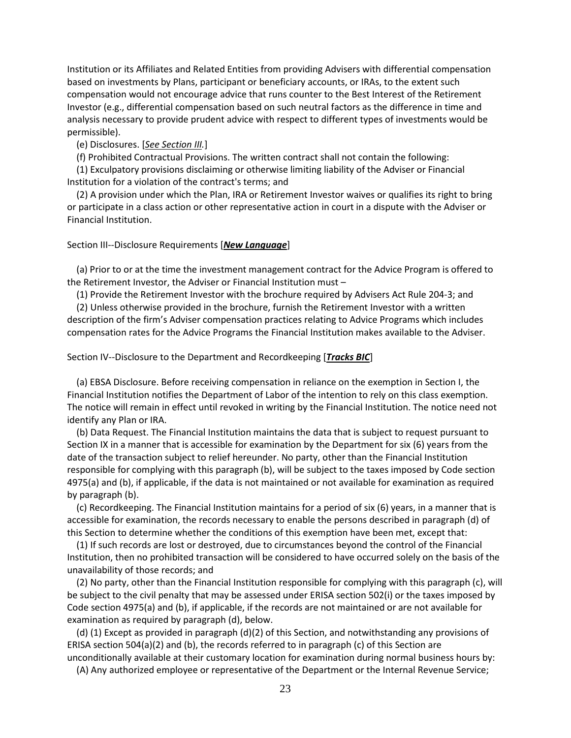Institution or its Affiliates and Related Entities from providing Advisers with differential compensation based on investments by Plans, participant or beneficiary accounts, or IRAs, to the extent such compensation would not encourage advice that runs counter to the Best Interest of the Retirement Investor (e.g., differential compensation based on such neutral factors as the difference in time and analysis necessary to provide prudent advice with respect to different types of investments would be permissible).

(e) Disclosures. [*See Section III.*]

(f) Prohibited Contractual Provisions. The written contract shall not contain the following:

 (1) Exculpatory provisions disclaiming or otherwise limiting liability of the Adviser or Financial Institution for a violation of the contract's terms; and

 (2) A provision under which the Plan, IRA or Retirement Investor waives or qualifies its right to bring or participate in a class action or other representative action in court in a dispute with the Adviser or Financial Institution.

#### Section III--Disclosure Requirements [*New Language*]

 (a) Prior to or at the time the investment management contract for the Advice Program is offered to the Retirement Investor, the Adviser or Financial Institution must –

(1) Provide the Retirement Investor with the brochure required by Advisers Act Rule 204-3; and

 (2) Unless otherwise provided in the brochure, furnish the Retirement Investor with a written description of the firm's Adviser compensation practices relating to Advice Programs which includes compensation rates for the Advice Programs the Financial Institution makes available to the Adviser.

#### Section IV--Disclosure to the Department and Recordkeeping [*Tracks BIC*]

 (a) EBSA Disclosure. Before receiving compensation in reliance on the exemption in Section I, the Financial Institution notifies the Department of Labor of the intention to rely on this class exemption. The notice will remain in effect until revoked in writing by the Financial Institution. The notice need not identify any Plan or IRA.

 (b) Data Request. The Financial Institution maintains the data that is subject to request pursuant to Section IX in a manner that is accessible for examination by the Department for six (6) years from the date of the transaction subject to relief hereunder. No party, other than the Financial Institution responsible for complying with this paragraph (b), will be subject to the taxes imposed by Code section 4975(a) and (b), if applicable, if the data is not maintained or not available for examination as required by paragraph (b).

 (c) Recordkeeping. The Financial Institution maintains for a period of six (6) years, in a manner that is accessible for examination, the records necessary to enable the persons described in paragraph (d) of this Section to determine whether the conditions of this exemption have been met, except that:

 (1) If such records are lost or destroyed, due to circumstances beyond the control of the Financial Institution, then no prohibited transaction will be considered to have occurred solely on the basis of the unavailability of those records; and

 (2) No party, other than the Financial Institution responsible for complying with this paragraph (c), will be subject to the civil penalty that may be assessed under ERISA section 502(i) or the taxes imposed by Code section 4975(a) and (b), if applicable, if the records are not maintained or are not available for examination as required by paragraph (d), below.

 (d) (1) Except as provided in paragraph (d)(2) of this Section, and notwithstanding any provisions of ERISA section 504(a)(2) and (b), the records referred to in paragraph (c) of this Section are unconditionally available at their customary location for examination during normal business hours by:

(A) Any authorized employee or representative of the Department or the Internal Revenue Service;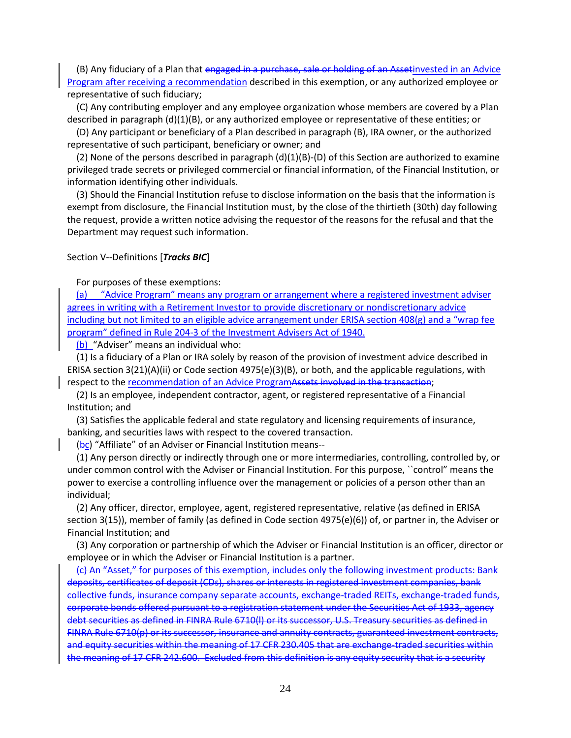(B) Any fiduciary of a Plan that engaged in a purchase, sale or holding of an Assetinvested in an Advice Program after receiving a recommendation described in this exemption, or any authorized employee or representative of such fiduciary;

 (C) Any contributing employer and any employee organization whose members are covered by a Plan described in paragraph (d)(1)(B), or any authorized employee or representative of these entities; or

 (D) Any participant or beneficiary of a Plan described in paragraph (B), IRA owner, or the authorized representative of such participant, beneficiary or owner; and

 $(2)$  None of the persons described in paragraph  $(d)(1)(B)$ - $(D)$  of this Section are authorized to examine privileged trade secrets or privileged commercial or financial information, of the Financial Institution, or information identifying other individuals.

 (3) Should the Financial Institution refuse to disclose information on the basis that the information is exempt from disclosure, the Financial Institution must, by the close of the thirtieth (30th) day following the request, provide a written notice advising the requestor of the reasons for the refusal and that the Department may request such information.

#### Section V--Definitions [*Tracks BIC*]

For purposes of these exemptions:

(a) "Advice Program" means any program or arrangement where a registered investment adviser agrees in writing with a Retirement Investor to provide discretionary or nondiscretionary advice including but not limited to an eligible advice arrangement under ERISA section 408(g) and a "wrap fee program" defined in Rule 204-3 of the Investment Advisers Act of 1940.

(b) "Adviser" means an individual who:

 (1) Is a fiduciary of a Plan or IRA solely by reason of the provision of investment advice described in ERISA section 3(21)(A)(ii) or Code section 4975(e)(3)(B), or both, and the applicable regulations, with respect to the recommendation of an Advice ProgramAssets involved in the transaction;

 (2) Is an employee, independent contractor, agent, or registered representative of a Financial Institution; and

 (3) Satisfies the applicable federal and state regulatory and licensing requirements of insurance, banking, and securities laws with respect to the covered transaction.

(bc) "Affiliate" of an Adviser or Financial Institution means--

 (1) Any person directly or indirectly through one or more intermediaries, controlling, controlled by, or under common control with the Adviser or Financial Institution. For this purpose, ``control" means the power to exercise a controlling influence over the management or policies of a person other than an individual;

 (2) Any officer, director, employee, agent, registered representative, relative (as defined in ERISA section 3(15)), member of family (as defined in Code section 4975(e)(6)) of, or partner in, the Adviser or Financial Institution; and

 (3) Any corporation or partnership of which the Adviser or Financial Institution is an officer, director or employee or in which the Adviser or Financial Institution is a partner.

 (c) An "Asset," for purposes of this exemption, includes only the following investment products: Bank deposits, certificates of deposit (CDs), shares or interests in registered investment companies, bank collective funds, insurance company separate accounts, exchange-traded REITs, exchange-traded funds, corporate bonds offered pursuant to a registration statement under the Securities Act of 1933, agency debt securities as defined in FINRA Rule 6710(l) or its successor, U.S. Treasury securities as defined in FINRA Rule 6710(p) or its successor, insurance and annuity contracts, guaranteed investment contracts, and equity securities within the meaning of 17 CFR 230.405 that are exchange traded securities within the meaning of 17 CFR 242.600. Excluded from this definition is any equity security that is a security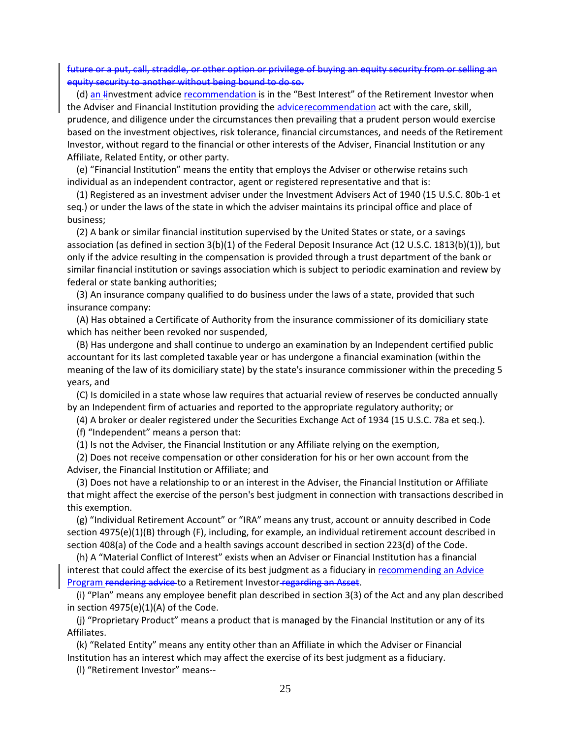future or a put, call, straddle, or other option or privilege of buying an equity security from or equity security to another without being bound to do so.

(d) an linvestment advice recommendation is in the "Best Interest" of the Retirement Investor when the Adviser and Financial Institution providing the advicerecommendation act with the care, skill, prudence, and diligence under the circumstances then prevailing that a prudent person would exercise based on the investment objectives, risk tolerance, financial circumstances, and needs of the Retirement Investor, without regard to the financial or other interests of the Adviser, Financial Institution or any Affiliate, Related Entity, or other party.

 (e) "Financial Institution" means the entity that employs the Adviser or otherwise retains such individual as an independent contractor, agent or registered representative and that is:

 (1) Registered as an investment adviser under the Investment Advisers Act of 1940 (15 U.S.C. 80b-1 et seq.) or under the laws of the state in which the adviser maintains its principal office and place of business;

 (2) A bank or similar financial institution supervised by the United States or state, or a savings association (as defined in section 3(b)(1) of the Federal Deposit Insurance Act (12 U.S.C. 1813(b)(1)), but only if the advice resulting in the compensation is provided through a trust department of the bank or similar financial institution or savings association which is subject to periodic examination and review by federal or state banking authorities;

 (3) An insurance company qualified to do business under the laws of a state, provided that such insurance company:

 (A) Has obtained a Certificate of Authority from the insurance commissioner of its domiciliary state which has neither been revoked nor suspended,

 (B) Has undergone and shall continue to undergo an examination by an Independent certified public accountant for its last completed taxable year or has undergone a financial examination (within the meaning of the law of its domiciliary state) by the state's insurance commissioner within the preceding 5 years, and

 (C) Is domiciled in a state whose law requires that actuarial review of reserves be conducted annually by an Independent firm of actuaries and reported to the appropriate regulatory authority; or

(4) A broker or dealer registered under the Securities Exchange Act of 1934 (15 U.S.C. 78a et seq.).

(f) "Independent" means a person that:

(1) Is not the Adviser, the Financial Institution or any Affiliate relying on the exemption,

 (2) Does not receive compensation or other consideration for his or her own account from the Adviser, the Financial Institution or Affiliate; and

 (3) Does not have a relationship to or an interest in the Adviser, the Financial Institution or Affiliate that might affect the exercise of the person's best judgment in connection with transactions described in this exemption.

 (g) "Individual Retirement Account" or "IRA" means any trust, account or annuity described in Code section 4975(e)(1)(B) through (F), including, for example, an individual retirement account described in section 408(a) of the Code and a health savings account described in section 223(d) of the Code.

 (h) A "Material Conflict of Interest" exists when an Adviser or Financial Institution has a financial interest that could affect the exercise of its best judgment as a fiduciary in recommending an Advice Program rendering advice to a Retirement Investor regarding an Asset.

 (i) "Plan" means any employee benefit plan described in section 3(3) of the Act and any plan described in section  $4975(e)(1)(A)$  of the Code.

 (j) "Proprietary Product" means a product that is managed by the Financial Institution or any of its Affiliates.

 (k) "Related Entity" means any entity other than an Affiliate in which the Adviser or Financial Institution has an interest which may affect the exercise of its best judgment as a fiduciary.

(l) "Retirement Investor" means--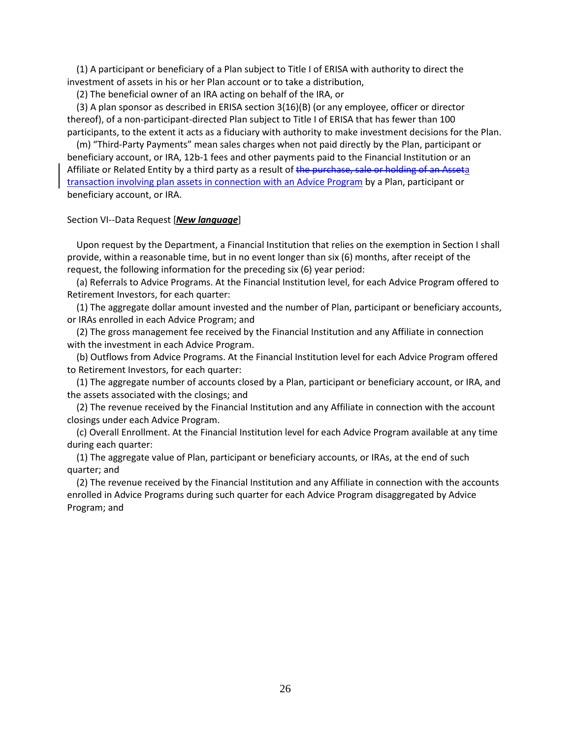(1) A participant or beneficiary of a Plan subject to Title I of ERISA with authority to direct the investment of assets in his or her Plan account or to take a distribution,

(2) The beneficial owner of an IRA acting on behalf of the IRA, or

 (3) A plan sponsor as described in ERISA section 3(16)(B) (or any employee, officer or director thereof), of a non-participant-directed Plan subject to Title I of ERISA that has fewer than 100 participants, to the extent it acts as a fiduciary with authority to make investment decisions for the Plan.

 (m) "Third-Party Payments" mean sales charges when not paid directly by the Plan, participant or beneficiary account, or IRA, 12b-1 fees and other payments paid to the Financial Institution or an Affiliate or Related Entity by a third party as a result of the purchase, sale or holding of an Asseta transaction involving plan assets in connection with an Advice Program by a Plan, participant or beneficiary account, or IRA.

#### Section VI--Data Request [*New language*]

 Upon request by the Department, a Financial Institution that relies on the exemption in Section I shall provide, within a reasonable time, but in no event longer than six (6) months, after receipt of the request, the following information for the preceding six (6) year period:

 (a) Referrals to Advice Programs. At the Financial Institution level, for each Advice Program offered to Retirement Investors, for each quarter:

 (1) The aggregate dollar amount invested and the number of Plan, participant or beneficiary accounts, or IRAs enrolled in each Advice Program; and

 (2) The gross management fee received by the Financial Institution and any Affiliate in connection with the investment in each Advice Program.

 (b) Outflows from Advice Programs. At the Financial Institution level for each Advice Program offered to Retirement Investors, for each quarter:

 (1) The aggregate number of accounts closed by a Plan, participant or beneficiary account, or IRA, and the assets associated with the closings; and

 (2) The revenue received by the Financial Institution and any Affiliate in connection with the account closings under each Advice Program.

 (c) Overall Enrollment. At the Financial Institution level for each Advice Program available at any time during each quarter:

 (1) The aggregate value of Plan, participant or beneficiary accounts, or IRAs, at the end of such quarter; and

 (2) The revenue received by the Financial Institution and any Affiliate in connection with the accounts enrolled in Advice Programs during such quarter for each Advice Program disaggregated by Advice Program; and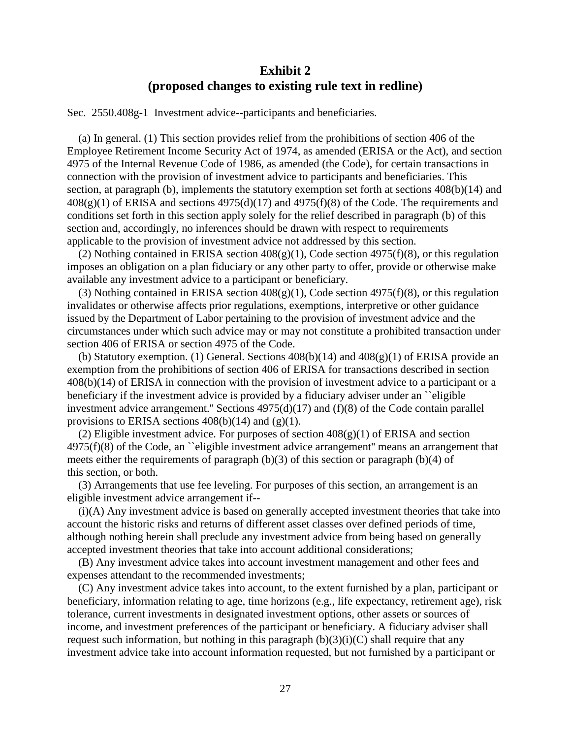## **Exhibit 2 (proposed changes to existing rule text in redline)**

Sec. 2550.408g-1 Investment advice--participants and beneficiaries.

 (a) In general. (1) This section provides relief from the prohibitions of section 406 of the Employee Retirement Income Security Act of 1974, as amended (ERISA or the Act), and section 4975 of the Internal Revenue Code of 1986, as amended (the Code), for certain transactions in connection with the provision of investment advice to participants and beneficiaries. This section, at paragraph (b), implements the statutory exemption set forth at sections 408(b)(14) and  $408(g)(1)$  of ERISA and sections  $4975(d)(17)$  and  $4975(f)(8)$  of the Code. The requirements and conditions set forth in this section apply solely for the relief described in paragraph (b) of this section and, accordingly, no inferences should be drawn with respect to requirements applicable to the provision of investment advice not addressed by this section.

(2) Nothing contained in ERISA section  $408(g)(1)$ , Code section  $4975(f)(8)$ , or this regulation imposes an obligation on a plan fiduciary or any other party to offer, provide or otherwise make available any investment advice to a participant or beneficiary.

(3) Nothing contained in ERISA section  $408(g)(1)$ , Code section  $4975(f)(8)$ , or this regulation invalidates or otherwise affects prior regulations, exemptions, interpretive or other guidance issued by the Department of Labor pertaining to the provision of investment advice and the circumstances under which such advice may or may not constitute a prohibited transaction under section 406 of ERISA or section 4975 of the Code.

(b) Statutory exemption. (1) General. Sections  $408(b)(14)$  and  $408(g)(1)$  of ERISA provide an exemption from the prohibitions of section 406 of ERISA for transactions described in section 408(b)(14) of ERISA in connection with the provision of investment advice to a participant or a beneficiary if the investment advice is provided by a fiduciary adviser under an ``eligible investment advice arrangement.'' Sections 4975(d)(17) and (f)(8) of the Code contain parallel provisions to ERISA sections  $408(b)(14)$  and  $(g)(1)$ .

(2) Eligible investment advice. For purposes of section  $408(g)(1)$  of ERISA and section 4975(f)(8) of the Code, an ``eligible investment advice arrangement'' means an arrangement that meets either the requirements of paragraph (b)(3) of this section or paragraph (b)(4) of this section, or both.

 (3) Arrangements that use fee leveling. For purposes of this section, an arrangement is an eligible investment advice arrangement if--

 $(i)(A)$  Any investment advice is based on generally accepted investment theories that take into account the historic risks and returns of different asset classes over defined periods of time, although nothing herein shall preclude any investment advice from being based on generally accepted investment theories that take into account additional considerations;

 (B) Any investment advice takes into account investment management and other fees and expenses attendant to the recommended investments;

 (C) Any investment advice takes into account, to the extent furnished by a plan, participant or beneficiary, information relating to age, time horizons (e.g., life expectancy, retirement age), risk tolerance, current investments in designated investment options, other assets or sources of income, and investment preferences of the participant or beneficiary. A fiduciary adviser shall request such information, but nothing in this paragraph  $(b)(3)(i)(C)$  shall require that any investment advice take into account information requested, but not furnished by a participant or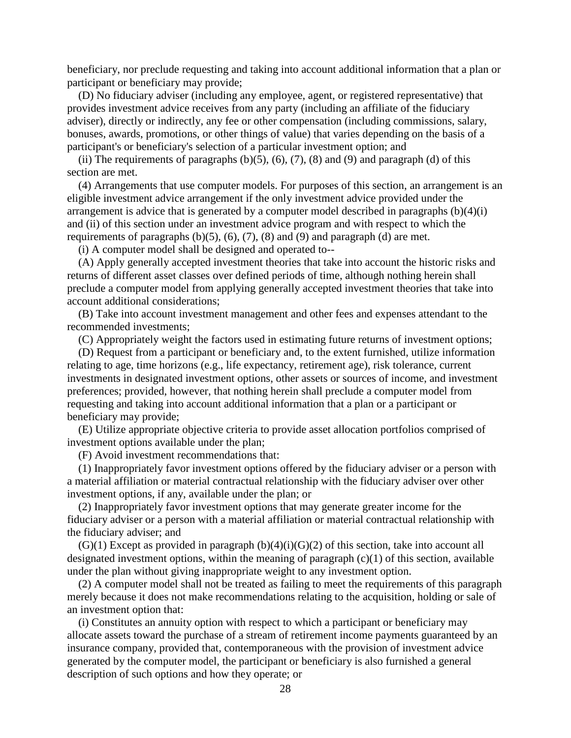beneficiary, nor preclude requesting and taking into account additional information that a plan or participant or beneficiary may provide;

 (D) No fiduciary adviser (including any employee, agent, or registered representative) that provides investment advice receives from any party (including an affiliate of the fiduciary adviser), directly or indirectly, any fee or other compensation (including commissions, salary, bonuses, awards, promotions, or other things of value) that varies depending on the basis of a participant's or beneficiary's selection of a particular investment option; and

(ii) The requirements of paragraphs  $(b)(5)$ ,  $(6)$ ,  $(7)$ ,  $(8)$  and  $(9)$  and paragraph (d) of this section are met.

 (4) Arrangements that use computer models. For purposes of this section, an arrangement is an eligible investment advice arrangement if the only investment advice provided under the arrangement is advice that is generated by a computer model described in paragraphs  $(b)(4)(i)$ and (ii) of this section under an investment advice program and with respect to which the requirements of paragraphs  $(b)(5)$ ,  $(6)$ ,  $(7)$ ,  $(8)$  and  $(9)$  and paragraph  $(d)$  are met.

(i) A computer model shall be designed and operated to--

 (A) Apply generally accepted investment theories that take into account the historic risks and returns of different asset classes over defined periods of time, although nothing herein shall preclude a computer model from applying generally accepted investment theories that take into account additional considerations;

 (B) Take into account investment management and other fees and expenses attendant to the recommended investments;

(C) Appropriately weight the factors used in estimating future returns of investment options;

 (D) Request from a participant or beneficiary and, to the extent furnished, utilize information relating to age, time horizons (e.g., life expectancy, retirement age), risk tolerance, current investments in designated investment options, other assets or sources of income, and investment preferences; provided, however, that nothing herein shall preclude a computer model from requesting and taking into account additional information that a plan or a participant or beneficiary may provide;

 (E) Utilize appropriate objective criteria to provide asset allocation portfolios comprised of investment options available under the plan;

(F) Avoid investment recommendations that:

 (1) Inappropriately favor investment options offered by the fiduciary adviser or a person with a material affiliation or material contractual relationship with the fiduciary adviser over other investment options, if any, available under the plan; or

 (2) Inappropriately favor investment options that may generate greater income for the fiduciary adviser or a person with a material affiliation or material contractual relationship with the fiduciary adviser; and

 $(G)(1)$  Except as provided in paragraph  $(b)(4)(i)(G)(2)$  of this section, take into account all designated investment options, within the meaning of paragraph  $(c)(1)$  of this section, available under the plan without giving inappropriate weight to any investment option.

 (2) A computer model shall not be treated as failing to meet the requirements of this paragraph merely because it does not make recommendations relating to the acquisition, holding or sale of an investment option that:

 (i) Constitutes an annuity option with respect to which a participant or beneficiary may allocate assets toward the purchase of a stream of retirement income payments guaranteed by an insurance company, provided that, contemporaneous with the provision of investment advice generated by the computer model, the participant or beneficiary is also furnished a general description of such options and how they operate; or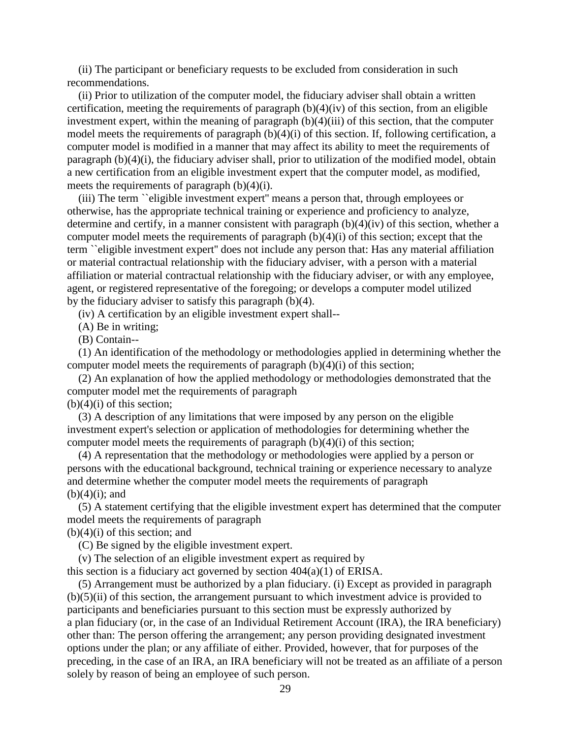(ii) The participant or beneficiary requests to be excluded from consideration in such recommendations.

 (ii) Prior to utilization of the computer model, the fiduciary adviser shall obtain a written certification, meeting the requirements of paragraph  $(b)(4)(iv)$  of this section, from an eligible investment expert, within the meaning of paragraph (b)(4)(iii) of this section, that the computer model meets the requirements of paragraph (b)(4)(i) of this section. If, following certification, a computer model is modified in a manner that may affect its ability to meet the requirements of paragraph  $(b)(4)(i)$ , the fiduciary adviser shall, prior to utilization of the modified model, obtain a new certification from an eligible investment expert that the computer model, as modified, meets the requirements of paragraph  $(b)(4)(i)$ .

 (iii) The term ``eligible investment expert'' means a person that, through employees or otherwise, has the appropriate technical training or experience and proficiency to analyze, determine and certify, in a manner consistent with paragraph (b)(4)(iv) of this section, whether a computer model meets the requirements of paragraph (b)(4)(i) of this section; except that the term ``eligible investment expert'' does not include any person that: Has any material affiliation or material contractual relationship with the fiduciary adviser, with a person with a material affiliation or material contractual relationship with the fiduciary adviser, or with any employee, agent, or registered representative of the foregoing; or develops a computer model utilized by the fiduciary adviser to satisfy this paragraph (b)(4).

(iv) A certification by an eligible investment expert shall--

(A) Be in writing;

(B) Contain--

 (1) An identification of the methodology or methodologies applied in determining whether the computer model meets the requirements of paragraph (b)(4)(i) of this section;

 (2) An explanation of how the applied methodology or methodologies demonstrated that the computer model met the requirements of paragraph

 $(b)(4)(i)$  of this section;

 (3) A description of any limitations that were imposed by any person on the eligible investment expert's selection or application of methodologies for determining whether the computer model meets the requirements of paragraph (b)(4)(i) of this section;

 (4) A representation that the methodology or methodologies were applied by a person or persons with the educational background, technical training or experience necessary to analyze and determine whether the computer model meets the requirements of paragraph  $(b)(4)(i)$ ; and

 (5) A statement certifying that the eligible investment expert has determined that the computer model meets the requirements of paragraph

 $(b)(4)(i)$  of this section; and

(C) Be signed by the eligible investment expert.

(v) The selection of an eligible investment expert as required by

this section is a fiduciary act governed by section 404(a)(1) of ERISA.

 (5) Arrangement must be authorized by a plan fiduciary. (i) Except as provided in paragraph (b)(5)(ii) of this section, the arrangement pursuant to which investment advice is provided to participants and beneficiaries pursuant to this section must be expressly authorized by a plan fiduciary (or, in the case of an Individual Retirement Account (IRA), the IRA beneficiary) other than: The person offering the arrangement; any person providing designated investment options under the plan; or any affiliate of either. Provided, however, that for purposes of the preceding, in the case of an IRA, an IRA beneficiary will not be treated as an affiliate of a person solely by reason of being an employee of such person.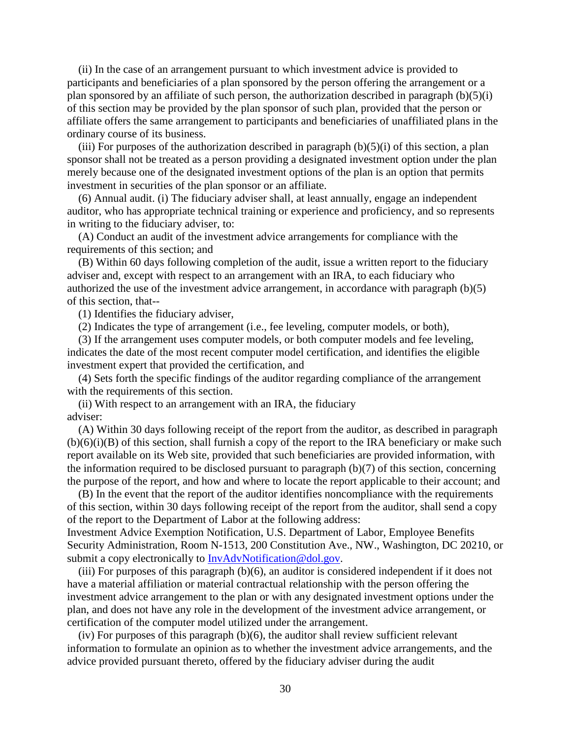(ii) In the case of an arrangement pursuant to which investment advice is provided to participants and beneficiaries of a plan sponsored by the person offering the arrangement or a plan sponsored by an affiliate of such person, the authorization described in paragraph  $(b)(5)(i)$ of this section may be provided by the plan sponsor of such plan, provided that the person or affiliate offers the same arrangement to participants and beneficiaries of unaffiliated plans in the ordinary course of its business.

(iii) For purposes of the authorization described in paragraph  $(b)(5)(i)$  of this section, a plan sponsor shall not be treated as a person providing a designated investment option under the plan merely because one of the designated investment options of the plan is an option that permits investment in securities of the plan sponsor or an affiliate.

 (6) Annual audit. (i) The fiduciary adviser shall, at least annually, engage an independent auditor, who has appropriate technical training or experience and proficiency, and so represents in writing to the fiduciary adviser, to:

 (A) Conduct an audit of the investment advice arrangements for compliance with the requirements of this section; and

 (B) Within 60 days following completion of the audit, issue a written report to the fiduciary adviser and, except with respect to an arrangement with an IRA, to each fiduciary who authorized the use of the investment advice arrangement, in accordance with paragraph (b)(5) of this section, that--

(1) Identifies the fiduciary adviser,

(2) Indicates the type of arrangement (i.e., fee leveling, computer models, or both),

 (3) If the arrangement uses computer models, or both computer models and fee leveling, indicates the date of the most recent computer model certification, and identifies the eligible investment expert that provided the certification, and

 (4) Sets forth the specific findings of the auditor regarding compliance of the arrangement with the requirements of this section.

 (ii) With respect to an arrangement with an IRA, the fiduciary adviser:

 (A) Within 30 days following receipt of the report from the auditor, as described in paragraph  $(b)(6)(i)(B)$  of this section, shall furnish a copy of the report to the IRA beneficiary or make such report available on its Web site, provided that such beneficiaries are provided information, with the information required to be disclosed pursuant to paragraph (b)(7) of this section, concerning the purpose of the report, and how and where to locate the report applicable to their account; and

 (B) In the event that the report of the auditor identifies noncompliance with the requirements of this section, within 30 days following receipt of the report from the auditor, shall send a copy of the report to the Department of Labor at the following address:

Investment Advice Exemption Notification, U.S. Department of Labor, Employee Benefits Security Administration, Room N-1513, 200 Constitution Ave., NW., Washington, DC 20210, or submit a copy electronically to  $InvAdvNotification@dol.gov.$ </u>

 (iii) For purposes of this paragraph (b)(6), an auditor is considered independent if it does not have a material affiliation or material contractual relationship with the person offering the investment advice arrangement to the plan or with any designated investment options under the plan, and does not have any role in the development of the investment advice arrangement, or certification of the computer model utilized under the arrangement.

 (iv) For purposes of this paragraph (b)(6), the auditor shall review sufficient relevant information to formulate an opinion as to whether the investment advice arrangements, and the advice provided pursuant thereto, offered by the fiduciary adviser during the audit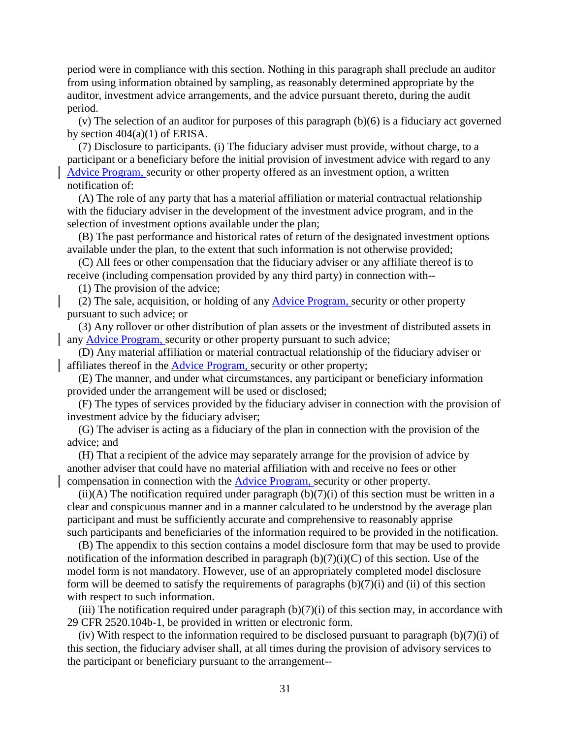period were in compliance with this section. Nothing in this paragraph shall preclude an auditor from using information obtained by sampling, as reasonably determined appropriate by the auditor, investment advice arrangements, and the advice pursuant thereto, during the audit period.

 (v) The selection of an auditor for purposes of this paragraph (b)(6) is a fiduciary act governed by section  $404(a)(1)$  of ERISA.

 (7) Disclosure to participants. (i) The fiduciary adviser must provide, without charge, to a participant or a beneficiary before the initial provision of investment advice with regard to any Advice Program, security or other property offered as an investment option, a written notification of:

 (A) The role of any party that has a material affiliation or material contractual relationship with the fiduciary adviser in the development of the investment advice program, and in the selection of investment options available under the plan;

 (B) The past performance and historical rates of return of the designated investment options available under the plan, to the extent that such information is not otherwise provided;

 (C) All fees or other compensation that the fiduciary adviser or any affiliate thereof is to receive (including compensation provided by any third party) in connection with--

(1) The provision of the advice;

 (2) The sale, acquisition, or holding of any Advice Program, security or other property pursuant to such advice; or

 (3) Any rollover or other distribution of plan assets or the investment of distributed assets in any Advice Program, security or other property pursuant to such advice;

 (D) Any material affiliation or material contractual relationship of the fiduciary adviser or affiliates thereof in the Advice Program, security or other property;

 (E) The manner, and under what circumstances, any participant or beneficiary information provided under the arrangement will be used or disclosed;

 (F) The types of services provided by the fiduciary adviser in connection with the provision of investment advice by the fiduciary adviser;

 (G) The adviser is acting as a fiduciary of the plan in connection with the provision of the advice; and

 (H) That a recipient of the advice may separately arrange for the provision of advice by another adviser that could have no material affiliation with and receive no fees or other compensation in connection with the Advice Program, security or other property.

(ii)(A) The notification required under paragraph  $(b)(7)(i)$  of this section must be written in a clear and conspicuous manner and in a manner calculated to be understood by the average plan participant and must be sufficiently accurate and comprehensive to reasonably apprise such participants and beneficiaries of the information required to be provided in the notification.

 (B) The appendix to this section contains a model disclosure form that may be used to provide notification of the information described in paragraph  $(b)(7)(i)(C)$  of this section. Use of the model form is not mandatory. However, use of an appropriately completed model disclosure form will be deemed to satisfy the requirements of paragraphs  $(b)(7)(i)$  and  $(ii)$  of this section with respect to such information.

(iii) The notification required under paragraph  $(b)(7)(i)$  of this section may, in accordance with 29 CFR 2520.104b-1, be provided in written or electronic form.

 (iv) With respect to the information required to be disclosed pursuant to paragraph (b)(7)(i) of this section, the fiduciary adviser shall, at all times during the provision of advisory services to the participant or beneficiary pursuant to the arrangement--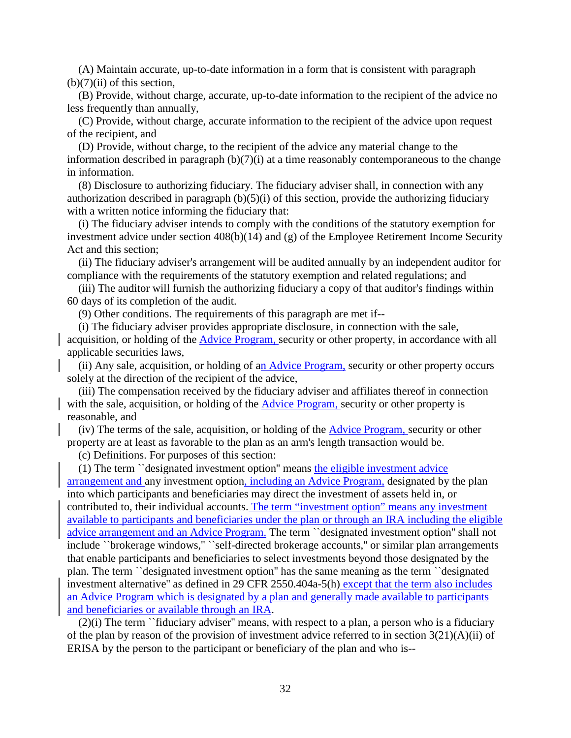(A) Maintain accurate, up-to-date information in a form that is consistent with paragraph  $(b)(7)(ii)$  of this section,

 (B) Provide, without charge, accurate, up-to-date information to the recipient of the advice no less frequently than annually,

 (C) Provide, without charge, accurate information to the recipient of the advice upon request of the recipient, and

 (D) Provide, without charge, to the recipient of the advice any material change to the information described in paragraph (b)(7)(i) at a time reasonably contemporaneous to the change in information.

 (8) Disclosure to authorizing fiduciary. The fiduciary adviser shall, in connection with any authorization described in paragraph  $(b)(5)(i)$  of this section, provide the authorizing fiduciary with a written notice informing the fiduciary that:

 (i) The fiduciary adviser intends to comply with the conditions of the statutory exemption for investment advice under section 408(b)(14) and (g) of the Employee Retirement Income Security Act and this section;

 (ii) The fiduciary adviser's arrangement will be audited annually by an independent auditor for compliance with the requirements of the statutory exemption and related regulations; and

 (iii) The auditor will furnish the authorizing fiduciary a copy of that auditor's findings within 60 days of its completion of the audit.

(9) Other conditions. The requirements of this paragraph are met if--

 (i) The fiduciary adviser provides appropriate disclosure, in connection with the sale, acquisition, or holding of the Advice Program, security or other property, in accordance with all applicable securities laws,

 (ii) Any sale, acquisition, or holding of an Advice Program, security or other property occurs solely at the direction of the recipient of the advice,

 (iii) The compensation received by the fiduciary adviser and affiliates thereof in connection with the sale, acquisition, or holding of the Advice Program, security or other property is reasonable, and

 (iv) The terms of the sale, acquisition, or holding of the Advice Program, security or other property are at least as favorable to the plan as an arm's length transaction would be.

(c) Definitions. For purposes of this section:

 (1) The term ``designated investment option'' means the eligible investment advice arrangement and any investment option, including an Advice Program, designated by the plan into which participants and beneficiaries may direct the investment of assets held in, or contributed to, their individual accounts. The term "investment option" means any investment available to participants and beneficiaries under the plan or through an IRA including the eligible advice arrangement and an Advice Program. The term ``designated investment option'' shall not include ``brokerage windows," ``self-directed brokerage accounts," or similar plan arrangements that enable participants and beneficiaries to select investments beyond those designated by the plan. The term ``designated investment option'' has the same meaning as the term ``designated investment alternative'' as defined in 29 CFR 2550.404a-5(h) except that the term also includes an Advice Program which is designated by a plan and generally made available to participants and beneficiaries or available through an IRA.

 (2)(i) The term ``fiduciary adviser'' means, with respect to a plan, a person who is a fiduciary of the plan by reason of the provision of investment advice referred to in section 3(21)(A)(ii) of ERISA by the person to the participant or beneficiary of the plan and who is--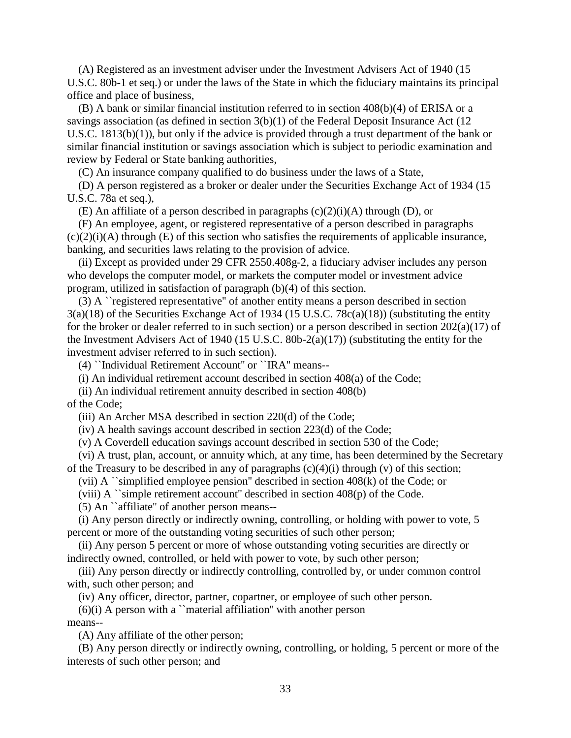(A) Registered as an investment adviser under the Investment Advisers Act of 1940 (15 U.S.C. 80b-1 et seq.) or under the laws of the State in which the fiduciary maintains its principal office and place of business,

 (B) A bank or similar financial institution referred to in section 408(b)(4) of ERISA or a savings association (as defined in section 3(b)(1) of the Federal Deposit Insurance Act (12 U.S.C. 1813(b)(1)), but only if the advice is provided through a trust department of the bank or similar financial institution or savings association which is subject to periodic examination and review by Federal or State banking authorities,

(C) An insurance company qualified to do business under the laws of a State,

 (D) A person registered as a broker or dealer under the Securities Exchange Act of 1934 (15 U.S.C. 78a et seq.),

(E) An affiliate of a person described in paragraphs  $(c)(2)(i)(A)$  through (D), or

 (F) An employee, agent, or registered representative of a person described in paragraphs  $(c)(2)(i)$ (A) through (E) of this section who satisfies the requirements of applicable insurance, banking, and securities laws relating to the provision of advice.

 (ii) Except as provided under 29 CFR 2550.408g-2, a fiduciary adviser includes any person who develops the computer model, or markets the computer model or investment advice program, utilized in satisfaction of paragraph (b)(4) of this section.

 (3) A ``registered representative'' of another entity means a person described in section 3(a)(18) of the Securities Exchange Act of 1934 (15 U.S.C. 78c(a)(18)) (substituting the entity for the broker or dealer referred to in such section) or a person described in section 202(a)(17) of the Investment Advisers Act of 1940 (15 U.S.C. 80b-2(a)(17)) (substituting the entity for the investment adviser referred to in such section).

(4) ``Individual Retirement Account'' or ``IRA'' means--

(i) An individual retirement account described in section 408(a) of the Code;

(ii) An individual retirement annuity described in section 408(b)

of the Code;

(iii) An Archer MSA described in section 220(d) of the Code;

(iv) A health savings account described in section 223(d) of the Code;

(v) A Coverdell education savings account described in section 530 of the Code;

(vi) A trust, plan, account, or annuity which, at any time, has been determined by the Secretary

of the Treasury to be described in any of paragraphs  $(c)(4)(i)$  through  $(v)$  of this section;

(vii) A ``simplified employee pension'' described in section 408(k) of the Code; or

(viii) A  $\lq$  simple retirement account" described in section 408(p) of the Code.

(5) An ``affiliate'' of another person means--

 (i) Any person directly or indirectly owning, controlling, or holding with power to vote, 5 percent or more of the outstanding voting securities of such other person;

 (ii) Any person 5 percent or more of whose outstanding voting securities are directly or indirectly owned, controlled, or held with power to vote, by such other person;

 (iii) Any person directly or indirectly controlling, controlled by, or under common control with, such other person; and

(iv) Any officer, director, partner, copartner, or employee of such other person.

(6)(i) A person with a ``material affiliation'' with another person

means--

(A) Any affiliate of the other person;

 (B) Any person directly or indirectly owning, controlling, or holding, 5 percent or more of the interests of such other person; and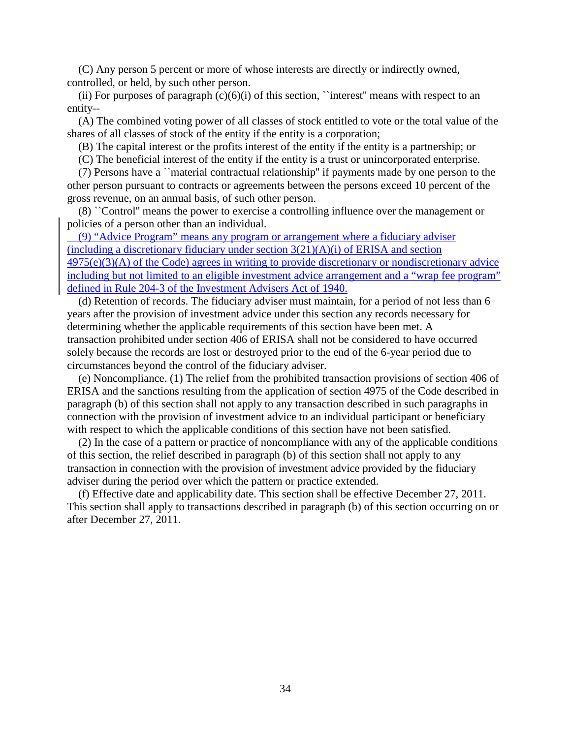(C) Any person 5 percent or more of whose interests are directly or indirectly owned, controlled, or held, by such other person.

(ii) For purposes of paragraph  $(c)(6)(i)$  of this section, "interest" means with respect to an entity--

 (A) The combined voting power of all classes of stock entitled to vote or the total value of the shares of all classes of stock of the entity if the entity is a corporation;

(B) The capital interest or the profits interest of the entity if the entity is a partnership; or

(C) The beneficial interest of the entity if the entity is a trust or unincorporated enterprise.

 (7) Persons have a ``material contractual relationship'' if payments made by one person to the other person pursuant to contracts or agreements between the persons exceed 10 percent of the gross revenue, on an annual basis, of such other person.

 (8) ``Control'' means the power to exercise a controlling influence over the management or policies of a person other than an individual.

 (9) "Advice Program" means any program or arrangement where a fiduciary adviser (including a discretionary fiduciary under section 3(21)(A)(i) of ERISA and section 4975(e)(3)(A) of the Code) agrees in writing to provide discretionary or nondiscretionary advice including but not limited to an eligible investment advice arrangement and a "wrap fee program" defined in Rule 204-3 of the Investment Advisers Act of 1940.

 (d) Retention of records. The fiduciary adviser must maintain, for a period of not less than 6 years after the provision of investment advice under this section any records necessary for determining whether the applicable requirements of this section have been met. A transaction prohibited under section 406 of ERISA shall not be considered to have occurred solely because the records are lost or destroyed prior to the end of the 6-year period due to circumstances beyond the control of the fiduciary adviser.

 (e) Noncompliance. (1) The relief from the prohibited transaction provisions of section 406 of ERISA and the sanctions resulting from the application of section 4975 of the Code described in paragraph (b) of this section shall not apply to any transaction described in such paragraphs in connection with the provision of investment advice to an individual participant or beneficiary with respect to which the applicable conditions of this section have not been satisfied.

 (2) In the case of a pattern or practice of noncompliance with any of the applicable conditions of this section, the relief described in paragraph (b) of this section shall not apply to any transaction in connection with the provision of investment advice provided by the fiduciary adviser during the period over which the pattern or practice extended.

 (f) Effective date and applicability date. This section shall be effective December 27, 2011. This section shall apply to transactions described in paragraph (b) of this section occurring on or after December 27, 2011.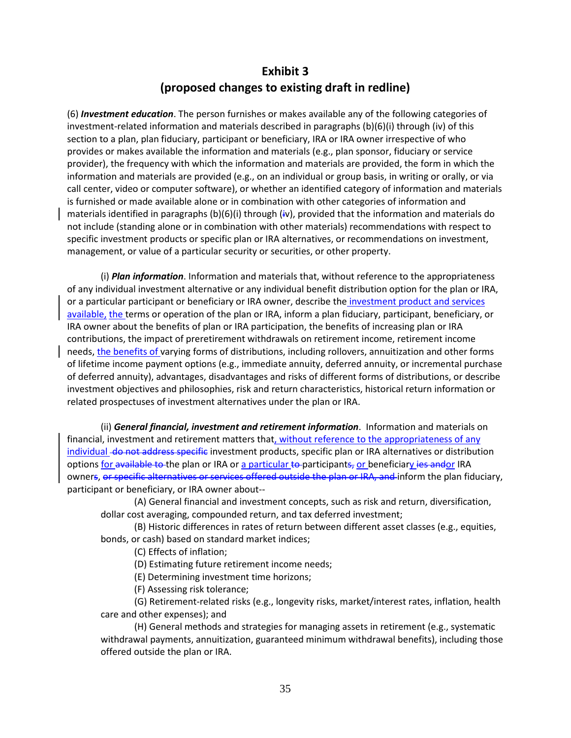# **Exhibit 3 (proposed changes to existing draft in redline)**

(6) *Investment education*. The person furnishes or makes available any of the following categories of investment-related information and materials described in paragraphs (b)(6)(i) through (iv) of this section to a plan, plan fiduciary, participant or beneficiary, IRA or IRA owner irrespective of who provides or makes available the information and materials (e.g., plan sponsor, fiduciary or service provider), the frequency with which the information and materials are provided, the form in which the information and materials are provided (e.g., on an individual or group basis, in writing or orally, or via call center, video or computer software), or whether an identified category of information and materials is furnished or made available alone or in combination with other categories of information and materials identified in paragraphs (b)(6)(i) through (iv), provided that the information and materials do not include (standing alone or in combination with other materials) recommendations with respect to specific investment products or specific plan or IRA alternatives, or recommendations on investment, management, or value of a particular security or securities, or other property.

(i) *Plan information*. Information and materials that, without reference to the appropriateness of any individual investment alternative or any individual benefit distribution option for the plan or IRA, or a particular participant or beneficiary or IRA owner, describe the investment product and services available, the terms or operation of the plan or IRA, inform a plan fiduciary, participant, beneficiary, or IRA owner about the benefits of plan or IRA participation, the benefits of increasing plan or IRA contributions, the impact of preretirement withdrawals on retirement income, retirement income needs, the benefits of varying forms of distributions, including rollovers, annuitization and other forms of lifetime income payment options (e.g., immediate annuity, deferred annuity, or incremental purchase of deferred annuity), advantages, disadvantages and risks of different forms of distributions, or describe investment objectives and philosophies, risk and return characteristics, historical return information or related prospectuses of investment alternatives under the plan or IRA.

(ii) *General financial, investment and retirement information*. Information and materials on financial, investment and retirement matters that, without reference to the appropriateness of any individual do not address specific investment products, specific plan or IRA alternatives or distribution options for available to the plan or IRA or a particular to participants, or beneficiary ies andor IRA owners, or specific alternatives or services offered outside the plan or IRA, and inform the plan fiduciary, participant or beneficiary, or IRA owner about--

 (A) General financial and investment concepts, such as risk and return, diversification, dollar cost averaging, compounded return, and tax deferred investment;

 (B) Historic differences in rates of return between different asset classes (e.g., equities, bonds, or cash) based on standard market indices;

(C) Effects of inflation;

(D) Estimating future retirement income needs;

(E) Determining investment time horizons;

(F) Assessing risk tolerance;

 (G) Retirement-related risks (e.g., longevity risks, market/interest rates, inflation, health care and other expenses); and

 (H) General methods and strategies for managing assets in retirement (e.g., systematic withdrawal payments, annuitization, guaranteed minimum withdrawal benefits), including those offered outside the plan or IRA.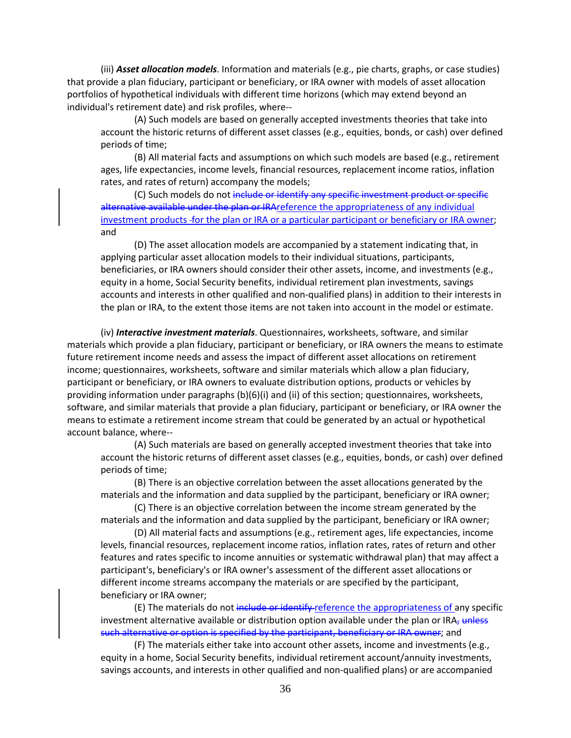(iii) *Asset allocation models*. Information and materials (e.g., pie charts, graphs, or case studies) that provide a plan fiduciary, participant or beneficiary, or IRA owner with models of asset allocation portfolios of hypothetical individuals with different time horizons (which may extend beyond an individual's retirement date) and risk profiles, where--

 (A) Such models are based on generally accepted investments theories that take into account the historic returns of different asset classes (e.g., equities, bonds, or cash) over defined periods of time;

(B) All material facts and assumptions on which such models are based (e.g., retirement ages, life expectancies, income levels, financial resources, replacement income ratios, inflation rates, and rates of return) accompany the models;

(C) Such models do not include or identify any specific investment product or specific alternative available under the plan or IRAreference the appropriateness of any individual investment products for the plan or IRA or a particular participant or beneficiary or IRA owner; and

(D) The asset allocation models are accompanied by a statement indicating that, in applying particular asset allocation models to their individual situations, participants, beneficiaries, or IRA owners should consider their other assets, income, and investments (e.g., equity in a home, Social Security benefits, individual retirement plan investments, savings accounts and interests in other qualified and non-qualified plans) in addition to their interests in the plan or IRA, to the extent those items are not taken into account in the model or estimate.

(iv) *Interactive investment materials*. Questionnaires, worksheets, software, and similar materials which provide a plan fiduciary, participant or beneficiary, or IRA owners the means to estimate future retirement income needs and assess the impact of different asset allocations on retirement income; questionnaires, worksheets, software and similar materials which allow a plan fiduciary, participant or beneficiary, or IRA owners to evaluate distribution options, products or vehicles by providing information under paragraphs (b)(6)(i) and (ii) of this section; questionnaires, worksheets, software, and similar materials that provide a plan fiduciary, participant or beneficiary, or IRA owner the means to estimate a retirement income stream that could be generated by an actual or hypothetical account balance, where--

 (A) Such materials are based on generally accepted investment theories that take into account the historic returns of different asset classes (e.g., equities, bonds, or cash) over defined periods of time;

(B) There is an objective correlation between the asset allocations generated by the materials and the information and data supplied by the participant, beneficiary or IRA owner;

(C) There is an objective correlation between the income stream generated by the materials and the information and data supplied by the participant, beneficiary or IRA owner;

(D) All material facts and assumptions (e.g., retirement ages, life expectancies, income levels, financial resources, replacement income ratios, inflation rates, rates of return and other features and rates specific to income annuities or systematic withdrawal plan) that may affect a participant's, beneficiary's or IRA owner's assessment of the different asset allocations or different income streams accompany the materials or are specified by the participant, beneficiary or IRA owner;

(E) The materials do not include or identify reference the appropriateness of any specific investment alternative available or distribution option available under the plan or IRA<sub>7</sub> unless such alternative or option is specified by the participant, beneficiary or IRA owner; and

(F) The materials either take into account other assets, income and investments (e.g., equity in a home, Social Security benefits, individual retirement account/annuity investments, savings accounts, and interests in other qualified and non-qualified plans) or are accompanied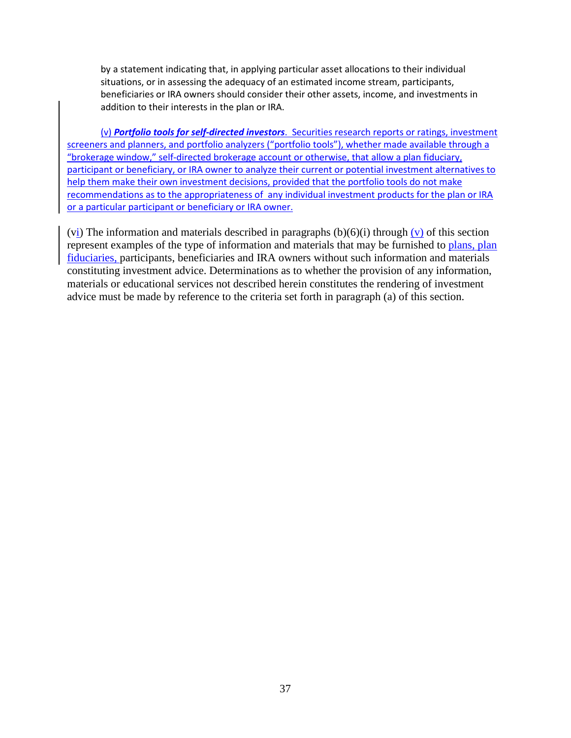by a statement indicating that, in applying particular asset allocations to their individual situations, or in assessing the adequacy of an estimated income stream, participants, beneficiaries or IRA owners should consider their other assets, income, and investments in addition to their interests in the plan or IRA.

(v) *Portfolio tools for self-directed investors*. Securities research reports or ratings, investment screeners and planners, and portfolio analyzers ("portfolio tools"), whether made available through a "brokerage window," self-directed brokerage account or otherwise, that allow a plan fiduciary, participant or beneficiary, or IRA owner to analyze their current or potential investment alternatives to help them make their own investment decisions, provided that the portfolio tools do not make recommendations as to the appropriateness of any individual investment products for the plan or IRA or a particular participant or beneficiary or IRA owner.

(vi) The information and materials described in paragraphs  $(b)(6)(i)$  through  $(v)$  of this section represent examples of the type of information and materials that may be furnished to plans, plan fiduciaries, participants, beneficiaries and IRA owners without such information and materials constituting investment advice. Determinations as to whether the provision of any information, materials or educational services not described herein constitutes the rendering of investment advice must be made by reference to the criteria set forth in paragraph (a) of this section.